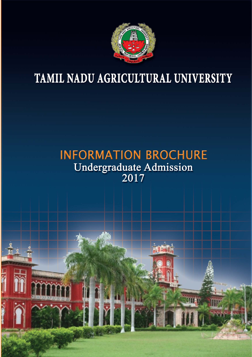

# TAMIL NADU AGRICULTURAL UNIVERSITY

# **INFORMATION BROCHURE** Undergraduate Admission<br>2017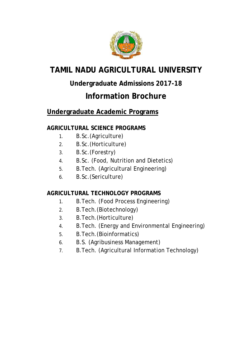

## **TAMIL NADU AGRICULTURAL UNIVERSITY**

## **Undergraduate Admissions 2017-18**

## **Information Brochure**

## **Undergraduate Academic Programs**

## **AGRICULTURAL SCIENCE PROGRAMS**

- 1. B.Sc.(Agriculture)
- 2. B.Sc.(Horticulture)
- 3. B.Sc.(Forestry)
- 4. B.Sc. (Food, Nutrition and Dietetics)
- 5. B.Tech. (Agricultural Engineering)
- 6. B.Sc.(Sericulture)

## **AGRICULTURAL TECHNOLOGY PROGRAMS**

- 1. B.Tech. (Food Process Engineering)
- 2. B.Tech.(Biotechnology)
- 3. B.Tech.(Horticulture)
- 4. B.Tech. (Energy and Environmental Engineering)
- 5. B.Tech.(Bioinformatics)
- 6. B.S. (Agribusiness Management)
- 7. B.Tech. (Agricultural Information Technology)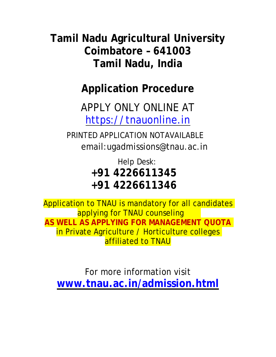**Tamil Nadu Agricultural University Coimbatore – 641003 Tamil Nadu, India**

**Application Procedure**

APPLY ONLY ONLINE AT [https://tnauonline.in](https://tnauonline.in/)

PRINTED APPLICATION NOTAVAILABLE email[:ugadmissions@tnau.ac.in](mailto:ugadmissions@tnau.ac.in)

> Help Desk: **+91 4226611345 +91 4226611346**

Application to TNAU is mandatory for all candidates applying for TNAU counseling **AS WELL AS APPLYING FOR MANAGEMENT QUOTA** in Private Agriculture / Horticulture colleges affiliated to TNAU

For more information visit **[www.tnau.ac.in/](http://www.tnau.ac.in/)admission.html**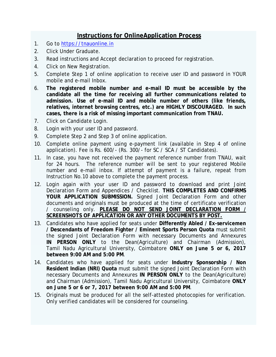## **Instructions for OnlineApplication Process**

- 1. Go to [https://tnauonline.in](https://tnauonline.in/)
- 2. Click Under Graduate.
- 3. Read instructions and Accept declaration to proceed for registration.
- 4. Click on New Registration.
- 5. Complete Step 1 of online application to receive user ID and password in YOUR mobile and e-mail Inbox.
- 6. **The registered mobile number and e-mail ID must be accessible by the candidate all the time for receiving all further communications related to admission. Use of e-mail ID and mobile number of others (like friends, relatives, internet browsing centres, etc.) are HIGHLY DISCOURAGED. In such cases, there is a risk of missing important communication from TNAU.**
- 7. Click on Candidate Login.
- 8. Login with your user ID and password.
- 9. Complete Step 2 and Step 3 of online application.
- 10. Complete online payment using e-payment link (available in Step 4 of online application). Fee is Rs. 600/- (Rs. 300/- for SC / SCA / ST Candidates).
- 11. In case, you have not received the payment reference number from TNAU, wait for 24 hours. The reference number will be sent to your registered Mobile number and e-mail inbox. If attempt of payment is a failure, repeat from Instruction No.10 above to complete the payment process.
- 12. Login again with your user ID and password to download and print Joint Declaration Form and Appendices / Checklist. **THIS COMPLETES AND CONFIRMS YOUR APPLICATION SUBMISSION.** Signed Joint Declaration Form and other documents and originals must be produced at the time of certificate verification / counseling only. **PLEASE DO NOT SEND JOINT DECLARATION FORM / SCREENSHOTS OF APPLICATION OR ANY OTHER DOCUMENTS BY POST.**
- 13. Candidates who have applied for seats under **Differently Abled / Ex-servicemen / Descendants of Freedom Fighter / Eminent Sports Person Quota** must submit the signed Joint Declaration Form with necessary Documents and Annexures **IN PERSON ONLY** to the Dean(Agriculture) and Chairman (Admission), Tamil Nadu Agricultural University, Coimbatore **ONLY on June 5 or 6, 2017 between 9:00 AM and 5:00 PM**.
- 14. Candidates who have applied for seats under **Industry Sponsorship / Non Resident Indian (NRI) Quota** must submit the signed Joint Declaration Form with necessary Documents and Annexures **IN PERSON ONLY** to the Dean(Agriculture) and Chairman (Admission), Tamil Nadu Agricultural University, Coimbatore **ONLY on June 5 or 6 or 7, 2017 between 9:00 AM and 5:00 PM**.
- 15. Originals must be produced for all the self-attested photocopies for verification. Only verified candidates will be considered for counseling.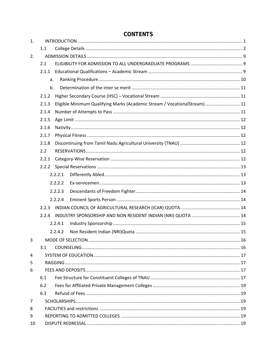| 1. |       |         |                                                                            |    |  |  |  |  |
|----|-------|---------|----------------------------------------------------------------------------|----|--|--|--|--|
|    | 1.1   |         |                                                                            |    |  |  |  |  |
| 2. |       |         |                                                                            |    |  |  |  |  |
|    | 2.1   |         |                                                                            |    |  |  |  |  |
|    |       |         |                                                                            |    |  |  |  |  |
|    | a.    |         |                                                                            |    |  |  |  |  |
|    | b.    |         |                                                                            |    |  |  |  |  |
|    | 2.1.2 |         |                                                                            |    |  |  |  |  |
|    | 2.1.3 |         | Eligible Minimum Qualifying Marks (Academic Stream / VocationalStream)  11 |    |  |  |  |  |
|    | 2.1.4 |         |                                                                            |    |  |  |  |  |
|    | 2.1.5 |         |                                                                            |    |  |  |  |  |
|    | 2.1.6 |         |                                                                            |    |  |  |  |  |
|    | 2.1.7 |         |                                                                            |    |  |  |  |  |
|    | 2.1.8 |         |                                                                            |    |  |  |  |  |
|    | 2.2   |         |                                                                            |    |  |  |  |  |
|    | 2.2.1 |         |                                                                            |    |  |  |  |  |
|    | 2.2.2 |         |                                                                            |    |  |  |  |  |
|    |       | 2.2.2.1 |                                                                            |    |  |  |  |  |
|    |       | 2.2.2.2 |                                                                            |    |  |  |  |  |
|    |       | 2.2.2.3 |                                                                            |    |  |  |  |  |
|    |       | 2.2.2.4 |                                                                            |    |  |  |  |  |
|    | 2.2.3 |         |                                                                            |    |  |  |  |  |
|    | 2.2.4 |         |                                                                            |    |  |  |  |  |
|    |       | 2.2.4.1 |                                                                            |    |  |  |  |  |
|    |       | 2.2.4.2 |                                                                            |    |  |  |  |  |
| 3  |       |         | MODE OF SELECTION                                                          | 16 |  |  |  |  |
|    | 3.1   |         |                                                                            |    |  |  |  |  |
| 4  |       |         |                                                                            |    |  |  |  |  |
| 5  |       |         |                                                                            |    |  |  |  |  |
| 6  |       |         |                                                                            |    |  |  |  |  |
|    | 6.1   |         |                                                                            |    |  |  |  |  |
|    | 6.2   |         |                                                                            |    |  |  |  |  |
|    | 6.3   |         |                                                                            |    |  |  |  |  |
| 7  |       |         |                                                                            |    |  |  |  |  |
| 8  |       |         |                                                                            |    |  |  |  |  |
| 9  |       |         |                                                                            |    |  |  |  |  |
| 10 |       |         |                                                                            |    |  |  |  |  |

## **CONTENTS**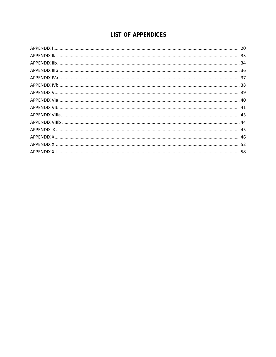## **LIST OF APPENDICES**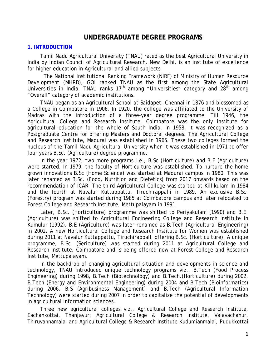## **UNDERGRADUATE DEGREE PROGRAMS**

#### <span id="page-6-0"></span>**1. INTRODUCTION**

Tamil Nadu Agricultural University (TNAU) rated as the best Agricultural University in India by Indian Council of Agricultural Research, New Delhi, is an institute of excellence for higher education in Agricultural and allied subjects.

The National Institutional Ranking Framework (NIRF) of Ministry of Human Resource Development (MHRD), GOI ranked TNAU as the first among the State Agricultural Universities in India. TNAU ranks  $17<sup>th</sup>$  among "Universities" category and  $28<sup>th</sup>$  among "Overall" category of academic institutions.

TNAU began as an Agricultural School at Saidapet, Chennai in 1876 and blossomed as a College in Coimbatore in 1906. In 1920, the college was affiliated to the University of Madras with the introduction of a three-year degree programme. Till 1946, the Agricultural College and Research Institute, Coimbatore was the only institute for agricultural education for the whole of South India. In 1958, it was recognized as a Postgraduate Centre for offering Masters and Doctoral degrees. The Agricultural College and Research Institute, Madurai was established in 1965. These two colleges formed the nucleus of the Tamil Nadu Agricultural University when it was established in 1971 to offer four years B.Sc. (Agriculture) degree programme.

In the year 1972, two more programs *i.e.,* B.Sc (Horticulture) and B.E (Agriculture) were started. In 1979, the faculty of Horticulture was established. To nurture the home grown innovations B.Sc (Home Science) was started at Madurai campus in 1980. This was later renamed as B.Sc. (Food, Nutrition and Dietetics) from 2017 onwards based on the recommendation of ICAR. The third Agricultural College was started at Killikulam in 1984 and the fourth at Navalur Kuttappattu, Tiruchirappalli in 1989. An exclusive B.Sc. (Forestry) program was started during 1985 at Coimbatore campus and later relocated to Forest College and Research Institute, Mettupalayam in 1991.

Later, B.Sc. (Horticulture) programme was shifted to Periyakulam (1990) and B.E. (Agriculture) was shifted to Agricultural Engineering College and Research Institute in Kumulur (1992). B.E (Agriculture) was later renamed as B.Tech (Agricultural Engineering) in 2002. A new Horticultural College and Research Institute for Women was established during 2011 at Navalur Kuttappattu, Tiruchirappalli offering B.Sc. (Horticulture). A unique programme, B.Sc. (Sericulture) was started during 2011 at Agricultural College and Research Institute, Coimbatore and is being offered now at Forest College and Research Institute, Mettupalayam.

In the backdrop of changing agricultural situation and developments in science and technology, TNAU introduced unique technology programs *viz.,* B.Tech (Food Process Engineering) during 1998, B.Tech (Biotechnology) and B.Tech.(Horticulture) during 2002, B.Tech (Energy and Environmental Engineering) during 2004 and B.Tech (Bioinformatics) during 2006. B.S (Agribusiness Management) and B.Tech (Agricultural Information Technology) were started during 2007 in order to capitalize the potential of developments in agricultural information sciences.

Three new agricultural colleges *viz.,* Agricultural College and Research Institute, Eachankottai, Thanjavur; Agricultural College & Research Institute, Valavachanur, Thiruvannamalai and Agricultural College & Research Institute Kudumianmalai, Pudukkottai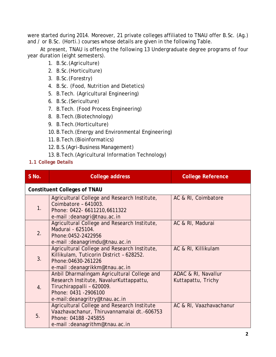were started during 2014. Moreover, 21 private colleges affiliated to TNAU offer B.Sc. (Ag.) and / or B.Sc. (Horti.) courses whose details are given in the following Table.

At present, TNAU is offering the following 13 Undergraduate degree programs of four year duration (eight semesters).

- 1. B.Sc.(Agriculture)
- 2. B.Sc.(Horticulture)
- 3. B.Sc.(Forestry)
- 4. B.Sc. (Food, Nutrition and Dietetics)
- 5. B.Tech. (Agricultural Engineering)
- 6. B.Sc.(Sericulture)
- 7. B.Tech. (Food Process Engineering)
- 8. B.Tech.(Biotechnology)
- 9. B.Tech.(Horticulture)
- 10.B.Tech.(Energy and Environmental Engineering)
- 11.B.Tech.(Bioinformatics)
- 12.B.S.(Agri-Business Management)
- 13.B.Tech.(Agricultural Information Technology)
- <span id="page-7-0"></span>**1.1 College Details**

| S No. | <b>College address</b>                                                                                                                                                         | <b>College Reference</b>                  |  |  |  |  |  |  |
|-------|--------------------------------------------------------------------------------------------------------------------------------------------------------------------------------|-------------------------------------------|--|--|--|--|--|--|
|       | <b>Constituent Colleges of TNAU</b>                                                                                                                                            |                                           |  |  |  |  |  |  |
| 1.    | Agricultural College and Research Institute,<br>Coimbatore - 641003.<br>Phone: 0422- 6611210, 6611322<br>e-mail : deanagri@tnau.ac.in                                          | AC & RI, Coimbatore                       |  |  |  |  |  |  |
| 2.    | Agricultural College and Research Institute,<br>Madurai - 625104.<br>Phone: 0452-2422956<br>e-mail: deanagrimdu@tnau.ac.in                                                     | AC & RI, Madurai                          |  |  |  |  |  |  |
| 3.    | Agricultural College and Research Institute,<br>Killikulam, Tuticorin District - 628252.<br>Phone: 04630-261226<br>e-mail: deanagrikkm@tnau.ac.in                              | AC & RI, Killikulam                       |  |  |  |  |  |  |
| 4.    | Anbil Dharmalingam Agricultural College and<br>Research Institute, NavalurKuttappattu,<br>Tiruchirappalli - 620009.<br>Phone: 0431 - 2906100<br>e-mail: deanagritry@tnau.ac.in | ADAC & RI, Navallur<br>Kuttapattu, Trichy |  |  |  |  |  |  |
| 5.    | Agricultural College and Research Institute<br>Vaazhavachanur, Thiruvannamalai dt.-606753<br>Phone: 04188 -245855<br>e-mail: deanagrithm@tnau.ac.in                            | AC & RI, Vaazhavachanur                   |  |  |  |  |  |  |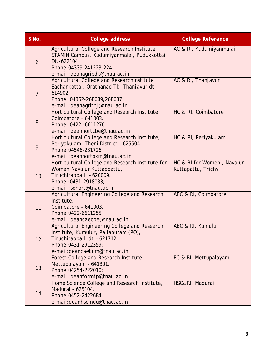| S No. | <b>College address</b>                                                                                                                                                          | <b>College Reference</b>                         |
|-------|---------------------------------------------------------------------------------------------------------------------------------------------------------------------------------|--------------------------------------------------|
| 6.    | Agricultural College and Research Institute<br>STAMIN Campus, Kudumiyanmalai, Pudukkottai<br>Dt. - 622104<br>Phone: 04339-241223, 224<br>e-mail: deanagripdk@tnau.ac.in         | AC & RI, Kudumiyanmalai                          |
| 7.    | Agricultural College and ResearchInstitute<br>Eachankottai, Orathanad Tk, Thanjavur dt.-<br>614902<br>Phone: 04362-268689,268687<br>e-mail: deanagritnj@tnau.ac.in              | AC & RI, Thanjavur                               |
| 8.    | Horticultural College and Research Institute,<br>Coimbatore - 641003.<br>Phone: 0422 -6611270<br>e-mail: deanhortcbe@tnau.ac.in                                                 | HC & RI, Coimbatore                              |
| 9.    | Horticultural College and Research Institute,<br>Periyakulam, Theni District - 625504.<br>Phone: 04546-231726<br>e-mail: deanhortpkm@tnau.ac.in                                 | HC & RI, Periyakulam                             |
| 10.   | Horticultural College and Research Institute for<br>Women, Navalur Kuttappattu,<br>Tiruchirappalli - 620009.<br>Phone: 0431-2918033;<br>e-mail:sohort@tnau.ac.in                | HC & RI for Women, Navalur<br>Kuttapattu, Trichy |
| 11.   | Agricultural Engineering College and Research<br>Institute,<br>Coimbatore - 641003.<br>Phone: 0422-6611255<br>e-mail: deancaecbe@tnau.ac.in                                     | AEC & RI, Coimbatore                             |
| 12.   | Agricultural Engineering College and Research<br>Institute, Kumulur, Pallapuram (PO),<br>Tiruchirappalli dt. - 621712.<br>Phone: 0431-2912359;<br>e-mail: deancaekum@tnau.ac.in | AEC & RI, Kumulur                                |
| 13.   | Forest College and Research Institute,<br>Mettupalayam - 641301.<br>Phone: 04254-222010;<br>e-mail: deanformtp@tnau.ac.in                                                       | FC & RI, Mettupalayam                            |
| 14.   | Home Science College and Research Institute,<br>Madurai - 625104.<br>Phone: 0452-2422684<br>e-mail: deanhscmdu@tnau.ac.in                                                       | HSC&RI, Madurai                                  |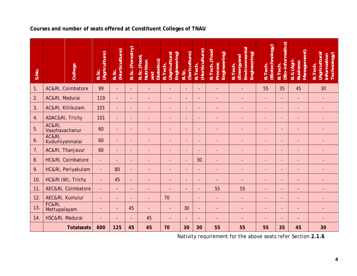| Courses and number of seats offered at Constituent Colleges of TNAU |
|---------------------------------------------------------------------|
|---------------------------------------------------------------------|

| S.No. | College                             | (Agriculture)<br>B.Sc.   | (Horticulture)<br>B.Sc.  | B.Sc. (Forestry)         | B.Sc. (Food<br>Nutrition<br>Dietetics)<br>pure | (Agricultural<br>Engineering)<br><b>B.Tech</b> | (Sericulture)<br>B.Sc.   | (Horticulture)<br>B. Tech. | B. Tech. (Food<br>Engineering)<br>Process | Environmental<br>Engineering)<br>(Energyand<br>B. Tech. | (Biotechnology)<br>B. Tech. | (Bio-informatics)<br>B. Tech. | Management)<br>B.S. (Agri-<br><b>Business</b> | (Agricultural<br>Technology)<br>Information<br>B. Tech. |
|-------|-------------------------------------|--------------------------|--------------------------|--------------------------|------------------------------------------------|------------------------------------------------|--------------------------|----------------------------|-------------------------------------------|---------------------------------------------------------|-----------------------------|-------------------------------|-----------------------------------------------|---------------------------------------------------------|
| 1.    | AC&RI, Coimbatore                   | 99                       |                          |                          |                                                |                                                | $\blacksquare$           | $\overline{\phantom{a}}$   |                                           |                                                         | 55                          | 35                            | 45                                            | 30                                                      |
| 2.    | AC&RI, Madurai                      | 119                      | $\overline{\phantom{0}}$ | $\sim$                   |                                                | $\blacksquare$                                 | ÷.                       | $\blacksquare$             | ٠                                         | $\blacksquare$                                          | $\overline{\phantom{a}}$    | $\overline{\phantom{a}}$      | L,                                            | $\blacksquare$                                          |
| 3.    | AC&RI, Killikulam                   | 101                      | $\overline{\phantom{0}}$ |                          |                                                |                                                | $\blacksquare$           | $\overline{\phantom{a}}$   | ÷                                         |                                                         | $\overline{\phantom{a}}$    | $\overline{\phantom{0}}$      |                                               |                                                         |
| 4.    | ADAC&RI, Trichy                     | 101                      | $\overline{a}$           |                          |                                                |                                                | $\overline{a}$           | $\overline{a}$             |                                           |                                                         | $\overline{\phantom{0}}$    | $\overline{a}$                |                                               |                                                         |
| 5.    | AC&RI,<br>Vaazhavachanur            | 60                       | $\overline{\phantom{a}}$ | $\blacksquare$           |                                                |                                                | $\blacksquare$           | $\blacksquare$             |                                           |                                                         |                             |                               |                                               |                                                         |
| 6.    | <b>AC&amp;RI,</b><br>Kudumiyanmalai | 60                       | $\overline{\phantom{a}}$ | $\overline{\phantom{a}}$ |                                                |                                                | $\blacksquare$           | $\blacksquare$             |                                           |                                                         |                             | $\overline{\phantom{a}}$      |                                               |                                                         |
| 7.    | AC&RI, Thanjavur                    | 60                       | $\overline{\phantom{a}}$ | $\sim$                   |                                                |                                                | $\overline{\phantom{a}}$ | $\blacksquare$             | $\blacksquare$                            | $\blacksquare$                                          | $\overline{\phantom{a}}$    | $\overline{\phantom{0}}$      |                                               |                                                         |
| 8.    | HC&RI, Coimbatore                   | $\overline{\phantom{a}}$ |                          |                          |                                                |                                                | $\blacksquare$           | 30                         |                                           |                                                         |                             |                               |                                               |                                                         |
| 9.    | HC&RI, Periyakulam                  | $\blacksquare$           | 80                       | $\overline{\phantom{a}}$ |                                                |                                                | $\blacksquare$           | $\overline{\phantom{a}}$   | ÷,                                        |                                                         | $\overline{\phantom{a}}$    | $\overline{\phantom{a}}$      |                                               |                                                         |
| 10.   | HC&RI (W), Trichy                   |                          | 45                       | $\sim$                   |                                                |                                                | $\blacksquare$           | $\blacksquare$             | L,                                        |                                                         | $\overline{\phantom{0}}$    | $\overline{\phantom{0}}$      |                                               |                                                         |
| 11.   | AEC&RI, Coimbatore                  | ÷,                       | ÷,                       | $\blacksquare$           | $\overline{\phantom{0}}$                       |                                                | $\blacksquare$           | $\blacksquare$             | 55                                        | 55                                                      | $\overline{\phantom{a}}$    | $\overline{\phantom{a}}$      |                                               | -                                                       |
| 12.   | AEC&RI, Kumulur                     |                          | $\overline{\phantom{0}}$ | $\blacksquare$           |                                                | 70                                             |                          | $\blacksquare$             | $\blacksquare$                            | $\overline{\phantom{a}}$                                | $\overline{\phantom{0}}$    | $\overline{\phantom{0}}$      | L,                                            | $\overline{\phantom{a}}$                                |
| 13.   | FC&RI,<br>Mettupalayam              |                          | $\overline{a}$           | 45                       |                                                |                                                | 30                       | $\blacksquare$             | $\overline{\phantom{a}}$                  |                                                         |                             | $\overline{a}$                |                                               |                                                         |
| 14.   | HSC&RI, Madurai                     |                          |                          |                          | 45                                             |                                                |                          |                            |                                           |                                                         |                             |                               |                                               |                                                         |
|       | <b>Totalseats</b>                   | 600                      | 125                      | 45                       | 45                                             | 70                                             | 30                       | 30                         | 55                                        | 55                                                      | 55                          | 35                            | 45                                            | 30                                                      |

Nativity requirement for the above seats refer Section **2.1.6**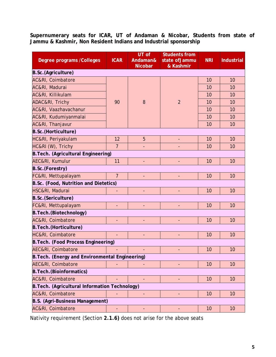**Supernumerary seats for ICAR, UT of Andaman & Nicobar, Students from state of Jammu & Kashmir, Non Resident Indians and Industrial sponsorship**

| Degree programs / Colleges                      | <b>ICAR</b>              | $UT$ of<br>Andaman&<br><b>Nicobar</b> | <b>Students from</b><br>state of Jammu<br>& Kashmir | <b>NRI</b> | <b>Industrial</b> |  |
|-------------------------------------------------|--------------------------|---------------------------------------|-----------------------------------------------------|------------|-------------------|--|
| B.Sc.(Agriculture)                              |                          |                                       |                                                     |            |                   |  |
| <b>AC&amp;RI, Coimbatore</b>                    |                          |                                       |                                                     | 10         | 10                |  |
| AC&RI, Madurai                                  |                          |                                       |                                                     | 10         | 10                |  |
| AC&RI, Killikulam                               |                          |                                       |                                                     | 10         | 10                |  |
| ADAC&RI, Trichy                                 | 90                       | 8                                     | $\overline{2}$                                      | 10         | 10                |  |
| <b>AC&amp;RI, Vaazhavachanur</b>                |                          |                                       |                                                     | 10         | 10                |  |
| AC&RI, Kudumiyanmalai                           |                          |                                       |                                                     | 10         | 10                |  |
| <b>AC&amp;RI, Thanjavur</b>                     |                          |                                       |                                                     | 10         | 10                |  |
| B.Sc.(Horticulture)                             |                          |                                       |                                                     |            |                   |  |
| HC&RI, Periyakulam                              | 12                       | 5                                     |                                                     | 10         | 10                |  |
| HC&RI (W), Trichy                               | $\overline{7}$           |                                       |                                                     | 10         | 10                |  |
| B. Tech. (Agricultural Engineering)             |                          |                                       |                                                     |            |                   |  |
| <b>AEC&amp;RI, Kumulur</b>                      | 11                       | ÷,                                    |                                                     | 10         | 10                |  |
| <b>B.Sc.(Forestry)</b>                          |                          |                                       |                                                     |            |                   |  |
| FC&RI, Mettupalayam                             | $\overline{7}$           |                                       |                                                     | 10         | 10                |  |
| B.Sc. (Food, Nutrition and Dietetics)           |                          |                                       |                                                     |            |                   |  |
| HSC&RI, Madurai                                 |                          |                                       |                                                     | 10         | 10                |  |
| B.Sc.(Sericulture)                              |                          |                                       |                                                     |            |                   |  |
| FC&RI, Mettupalayam                             | ÷,                       |                                       |                                                     | 10         | 10                |  |
| B. Tech. (Biotechnology)                        |                          |                                       |                                                     |            |                   |  |
| <b>AC&amp;RI, Coimbatore</b>                    |                          |                                       |                                                     | 10         | 10                |  |
| <b>B. Tech.</b> (Horticulture)                  |                          |                                       |                                                     |            |                   |  |
| <b>HC&amp;RI, Coimbatore</b>                    | $\overline{\phantom{a}}$ | L,                                    | $\overline{\phantom{0}}$                            | 10         | 10                |  |
| B. Tech. (Food Process Engineering)             |                          |                                       |                                                     |            |                   |  |
| <b>AEC&amp;RI, Coimbatore</b>                   |                          |                                       |                                                     | 10         | 10                |  |
| B. Tech. (Energy and Environmental Engineering) |                          |                                       |                                                     |            |                   |  |
| <b>AEC&amp;RI, Coimbatore</b>                   |                          |                                       |                                                     | 10         | 10                |  |
| <b>B. Tech. (Bioinformatics)</b>                |                          |                                       |                                                     |            |                   |  |
| AC&RI, Coimbatore                               |                          |                                       |                                                     | 10         | 10                |  |
| B. Tech. (Agricultural Information Technology)  |                          |                                       |                                                     |            |                   |  |
| <b>AC&amp;RI, Coimbatore</b>                    |                          |                                       |                                                     | 10         | 10                |  |
| B.S. (Agri-Business Management)                 |                          |                                       |                                                     |            |                   |  |
| AC&RI, Coimbatore                               | ۰                        |                                       |                                                     | 10         | 10                |  |

Nativity requirement (Section **2.1.6)** does not arise for the above seats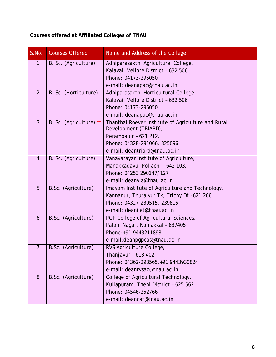**Courses offered at Affiliated Colleges of TNAU**

| S.No. | <b>Courses Offered</b>  | Name and Address of the College                                             |
|-------|-------------------------|-----------------------------------------------------------------------------|
| 1.    | B. Sc. (Agriculture)    | Adhiparasakthi Agricultural College,                                        |
|       |                         | Kalavai, Vellore District - 632 506                                         |
|       |                         | Phone: 04173-295050                                                         |
|       |                         | e-mail: deanapac@tnau.ac.in                                                 |
| 2.    | B. Sc. (Horticulture)   | Adhiparasakthi Horticultural College,                                       |
|       |                         | Kalavai, Vellore District - 632 506                                         |
|       |                         | Phone: 04173-295050                                                         |
|       |                         | e-mail: deanapac@tnau.ac.in                                                 |
| 3.    | B. Sc. (Agriculture) ** | Thanthai Roever Institute of Agriculture and Rural<br>Development (TRIARD), |
|       |                         | Perambalur - 621 212.                                                       |
|       |                         | Phone: 04328-291066, 325096                                                 |
|       |                         | e-mail: deantriard@tnau.ac.in                                               |
| 4.    | B. Sc. (Agriculture)    | Vanavarayar Institute of Agriculture,                                       |
|       |                         | Manakkadavu, Pollachi - 642 103.                                            |
|       |                         | Phone: 04253 290147/127                                                     |
|       |                         | e-mail: deanvia@tnau.ac.in                                                  |
| 5.    | B.Sc. (Agriculture)     | Imayam Institute of Agriculture and Technology,                             |
|       |                         | Kannanur, Thuraiyur Tk, Trichy Dt.-621 206                                  |
|       |                         | Phone: 04327-239515, 239815                                                 |
|       |                         | e-mail: deaniiat@tnau.ac.in                                                 |
| 6.    | B.Sc. (Agriculture)     | PGP College of Agricultural Sciences,                                       |
|       |                         | Palani Nagar, Namakkal - 637405                                             |
|       |                         | Phone: +91 9443211898                                                       |
|       |                         | e-mail: deanpgpcas@tnau.ac.in                                               |
| 7.    | B.Sc. (Agriculture)     | RVS Agriculture College,                                                    |
|       |                         | Thanjavur - 613 402                                                         |
|       |                         | Phone: 04362-293565, +91 9443930824                                         |
|       |                         | e-mail: deanrysac@tnau.ac.in                                                |
| 8.    | B.Sc. (Agriculture)     | College of Agricultural Technology,                                         |
|       |                         | Kullapuram, Theni District - 625 562.                                       |
|       |                         | Phone: 04546-252766                                                         |
|       |                         | e-mail: deancat@tnau.ac.in                                                  |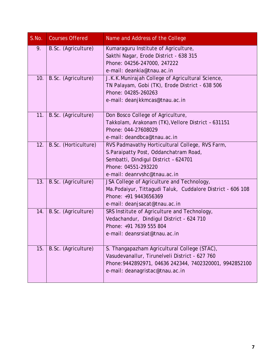| S.No. | <b>Courses Offered</b> | Name and Address of the College                                        |
|-------|------------------------|------------------------------------------------------------------------|
| 9.    | B.Sc. (Agriculture)    | Kumaraguru Institute of Agriculture,                                   |
|       |                        | Sakthi Nagar, Erode District - 638 315                                 |
|       |                        | Phone: 04256-247000, 247222                                            |
|       |                        | e-mail: deankia@tnau.ac.in                                             |
| 10.   | B.Sc. (Agriculture)    | J.K.K.Munirajah College of Agricultural Science,                       |
|       |                        | TN Palayam, Gobi (TK), Erode District - 638 506<br>Phone: 04285-260263 |
|       |                        | e-mail: deanjkkmcas@tnau.ac.in                                         |
|       |                        |                                                                        |
| 11.   | B.Sc. (Agriculture)    | Don Bosco College of Agriculture,                                      |
|       |                        | Takkolam, Arakonam (TK), Vellore District - 631151                     |
|       |                        | Phone: 044-27608029                                                    |
|       |                        | e-mail: deandbca@tnau.ac.in                                            |
| 12.   | B.Sc. (Horticulture)   | RVS Padmavathy Horticultural College, RVS Farm,                        |
|       |                        | S. Paraipatty Post, Oddanchatram Road,                                 |
|       |                        | Sembatti, Dindigul District - 624701                                   |
|       |                        | Phone: 04551-293220                                                    |
|       |                        | e-mail: deanryshc@tnau.ac.in                                           |
| 13.   | B.Sc. (Agriculture)    | JSA College of Agriculture and Technology,                             |
|       |                        | Ma. Podaiyur, Tittagudi Taluk, Cuddalore District - 606 108            |
|       |                        | Phone: +91 9443656369                                                  |
|       |                        | e-mail: deanjsacat@tnau.ac.in                                          |
| 14.   | B.Sc. (Agriculture)    | SRS Institute of Agriculture and Technology,                           |
|       |                        | Vedachandur, Dindigul District - 624 710<br>Phone: +91 7639 555 804    |
|       |                        | e-mail: deansrsiat@tnau.ac.in                                          |
|       |                        |                                                                        |
| 15.   | B.Sc. (Agriculture)    | S. Thangapazham Agricultural College (STAC),                           |
|       |                        | Vasudevanallur, Tirunelveli District - 627 760                         |
|       |                        | Phone: 9442892971, 04636 242344, 7402320001, 9942852100                |
|       |                        | e-mail: deanagristac@tnau.ac.in                                        |
|       |                        |                                                                        |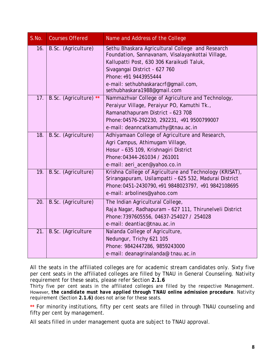| S.No. | <b>Courses Offered</b> | Name and Address of the College                                                                                                                                                                                                                    |
|-------|------------------------|----------------------------------------------------------------------------------------------------------------------------------------------------------------------------------------------------------------------------------------------------|
| 16.   | B.Sc. (Agriculture)    | Sethu Bhaskara Agricultural College and Research<br>Foundation, Sannavanam, Visalayankottai Village,<br>Kallupatti Post, 630 306 Karaikudi Taluk,<br>Sivagangai District - 627 760<br>Phone: +91 9443955444<br>e-mail: sethubhaskaracrf@qmail.com, |
| 17.   | B.Sc. (Agriculture) ** | sethubhaskara1988@gmail.com<br>Nammazhvar College of Agriculture and Technology,                                                                                                                                                                   |
|       |                        | Peraiyur Village, Peraiyur PO, Kamuthi Tk.,                                                                                                                                                                                                        |
|       |                        | Ramanathapuram District - 623 708                                                                                                                                                                                                                  |
|       |                        | Phone: 04576-292230, 292231, +91 9500799007                                                                                                                                                                                                        |
|       |                        | e-mail: deanncatkamuthy@tnau.ac.in                                                                                                                                                                                                                 |
| 18.   | B.Sc. (Agriculture)    | Adhiyamaan College of Agriculture and Research,                                                                                                                                                                                                    |
|       |                        | Agri Campus, Athimugam Village,                                                                                                                                                                                                                    |
|       |                        | Hosur - 635 109, Krishnagiri District                                                                                                                                                                                                              |
|       |                        | Phone: 04344-261034 / 261001                                                                                                                                                                                                                       |
|       |                        | e-mail: aeri_acen@yahoo.co.in                                                                                                                                                                                                                      |
| 19.   | B.Sc. (Agriculture)    | Krishna College of Agriculture and Technology (KRISAT),<br>Srirangapuram, Usilampatti - 625 532, Madurai District                                                                                                                                  |
|       |                        | Phone: 0451-2430790, +91 9848023797, +91 9842108695                                                                                                                                                                                                |
|       |                        | e-mail: arbolines@yahoo.com                                                                                                                                                                                                                        |
| 20.   | B.Sc. (Agriculture)    | The Indian Agricultural College,                                                                                                                                                                                                                   |
|       |                        | Raja Nagar, Radhapuram - 627 111, Thirunelveli District                                                                                                                                                                                            |
|       |                        | Phone: 7397605556, 04637-254027 / 254028                                                                                                                                                                                                           |
|       |                        | e-mail: deantiac@tnau.ac.in                                                                                                                                                                                                                        |
| 21.   | B.Sc. (Agriculture     | Nalanda College of Agriculture,                                                                                                                                                                                                                    |
|       |                        | Nedungur, Trichy 621 105                                                                                                                                                                                                                           |
|       |                        | Phone: 9842447286, 9859243000                                                                                                                                                                                                                      |
|       |                        | e-mail: deanagrinalanda@ tnau.ac.in                                                                                                                                                                                                                |

All the seats in the affiliated colleges are for academic stream candidates only. Sixty five per cent seats in the affiliated colleges are filled by TNAU in General Counseling. Nativity requirement for these seats, please refer Section **2.1.6**

Thirty five per cent seats in the affiliated colleges are filled by the respective Management. However, *the candidate must have applied through TNAU online admission procedure*. Nativity requirement (Section **2.1.6)** does not arise for these seats.

**\*\*** For minority institutions, fifty per cent seats are filled in through TNAU counseling and fifty per cent by management.

All seats filled in under management quota are subject to TNAU approval.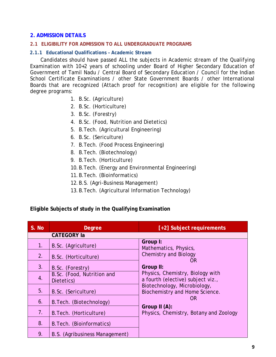#### <span id="page-14-0"></span>**2. ADMISSION DETAILS**

#### <span id="page-14-1"></span>**2.1 ELIGIBILITY FOR ADMISSION TO ALL UNDERGRADUATE PROGRAMS**

#### <span id="page-14-2"></span>**2.1.1 Educational Qualifications – Academic Stream**

Candidates should have passed ALL the subjects in Academic stream of the Qualifying Examination with 10+2 years of schooling under Board of Higher Secondary Education of Government of Tamil Nadu / Central Board of Secondary Education / Council for the Indian School Certificate Examinations / other State Government Boards / other International Boards that are recognized (Attach proof for recognition) are eligible for the following degree programs:

- 1. B.Sc. (Agriculture)
- 2. B.Sc. (Horticulture)
- 3. B.Sc. (Forestry)
- 4. B.Sc. (Food, Nutrition and Dietetics)
- 5. B.Tech. (Agricultural Engineering)
- 6. B.Sc. (Sericulture)
- 7. B.Tech. (Food Process Engineering)
- 8. B.Tech. (Biotechnology)
- 9. B.Tech. (Horticulture)
- 10.B.Tech. (Energy and Environmental Engineering)
- 11.B.Tech. (Bioinformatics)
- 12.B.S. (Agri-Business Management)
- 13.B.Tech. (Agricultural Information Technology)

**Eligible Subjects of study in the Qualifying Examination**

| S. No. | <b>Degree</b>                            | [+2] Subject requirements                                            |
|--------|------------------------------------------|----------------------------------------------------------------------|
|        | <b>CATEGORY la</b>                       |                                                                      |
| 1.     | B.Sc. (Agriculture)                      | Group I:<br>Mathematics, Physics,                                    |
| 2.     | B.Sc. (Horticulture)                     | <b>Chemistry and Biology</b><br>OR.                                  |
| 3.     | B.Sc. (Forestry)                         | Group II:                                                            |
| 4.     | B.Sc. (Food, Nutrition and<br>Dietetics) | Physics, Chemistry, Biology with<br>a fourth (elective) subject viz. |
| 5.     | B.Sc. (Sericulture)                      | Biotechnology, Microbiology,<br>Biochemistry and Home Science.       |
| 6.     | B. Tech. (Biotechnology)                 | OR.                                                                  |
| 7.     | B. Tech. (Horticulture)                  | Group II (A):<br>Physics, Chemistry, Botany and Zoology              |
| 8.     | B. Tech. (Bioinformatics)                |                                                                      |
| 9.     | B.S. (Agribusiness Management)           |                                                                      |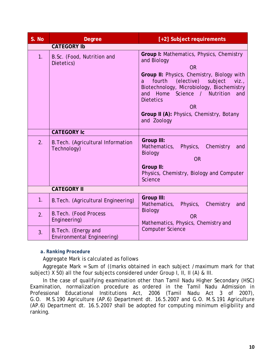| S. No | <b>Degree</b>                                      | [+2] Subject requirements                                                                                                                                                                                                                                                                                                                             |  |  |  |
|-------|----------------------------------------------------|-------------------------------------------------------------------------------------------------------------------------------------------------------------------------------------------------------------------------------------------------------------------------------------------------------------------------------------------------------|--|--|--|
|       | <b>CATEGORY Ib</b>                                 |                                                                                                                                                                                                                                                                                                                                                       |  |  |  |
| 1.    | B.Sc. (Food, Nutrition and<br>Dietetics)           | Group I: Mathematics, Physics, Chemistry<br>and Biology<br><b>OR</b><br>Group II: Physics, Chemistry, Biology with<br>fourth<br>(elective)<br>subject<br>viz.<br>a<br>Biotechnology, Microbiology, Biochemistry<br>and Home<br>Science / Nutrition<br>and<br><b>Dietetics</b><br><b>OR</b><br>Group II (A): Physics, Chemistry, Botany<br>and Zoology |  |  |  |
|       | <b>CATEGORY Ic</b>                                 |                                                                                                                                                                                                                                                                                                                                                       |  |  |  |
| 2.    | B. Tech. (Agricultural Information<br>Technology)  | <b>Group III:</b><br>Mathematics,<br>Physics,<br>Chemistry<br>and<br><b>Biology</b><br><b>OR</b><br>Group II:<br>Physics, Chemistry, Biology and Computer<br>Science                                                                                                                                                                                  |  |  |  |
|       | <b>CATEGORY II</b>                                 |                                                                                                                                                                                                                                                                                                                                                       |  |  |  |
| 1.    | B. Tech. (Agricultural Engineering)                | <b>Group III:</b><br>Mathematics,<br>Physics, Chemistry<br>and                                                                                                                                                                                                                                                                                        |  |  |  |
| 2.    | B. Tech. (Food Process<br>Engineering)             | <b>Biology</b><br><b>OR</b><br>Mathematics, Physics, Chemistry and                                                                                                                                                                                                                                                                                    |  |  |  |
| 3.    | B. Tech. (Energy and<br>Environmental Engineering) | <b>Computer Science</b>                                                                                                                                                                                                                                                                                                                               |  |  |  |

## <span id="page-15-0"></span>*a. Ranking Procedure*

Aggregate Mark is calculated as follows

Aggregate Mark = Sum of ((marks obtained in each subject /maximum mark for that subject) X 50) all the four subjects considered under Group I, II, II (A) & III.

In the case of qualifying examination other than Tamil Nadu Higher Secondary (HSC) Examination, normalization procedure as ordered in the Tamil Nadu Admission in Professional Educational Institutions Act, 2006 (Tamil Nadu Act 3 of 2007), G.O. M.S.190 Agriculture (AP.6) Department dt. 16.5.2007 and G.O. M.S.191 Agriculture (AP.6) Department dt. 16.5.2007 shall be adopted for computing minimum eligibility and ranking.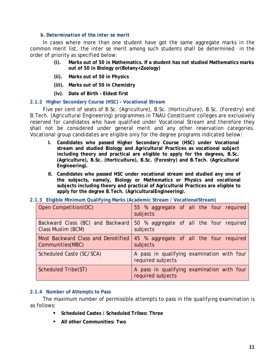#### *b. Determination of the inter se merit*

<span id="page-16-0"></span>In cases where more than one student have got the same aggregate marks in the common merit list, the *inter se* merit among such students shall be determined in the order of priority as specified below:

- **(i). Marks out of 50 in Mathematics. If a student has not studied Mathematics marks out of 50 in Biology or(Botany+Zoology)**
- **(ii). Marks out of 50 in Physics**
- **(iii). Marks out of 50 in Chemistry**
- **(iv). Date of Birth – Eldest first**

#### <span id="page-16-1"></span>**2.1.2 Higher Secondary Course (HSC) – Vocational Stream**

Five per cent of seats of B.Sc. (Agriculture), B.Sc. (Horticulture), B.Sc. (Forestry) and B.Tech. (Agricultural Engineering) programmes in TNAU Constituent colleges are exclusively reserved for candidates who have qualified under Vocational Stream and therefore they shall not be considered under general merit and any other reservation categories. Vocational group candidates are eligible only for the degree programs indicated below:

- **I. Candidates who passed Higher Secondary Course (HSC) under Vocational stream and studied Biology and Agricultural Practices as vocational subject including theory and practical are eligible to apply for the degrees, B.Sc. (Agriculture), B.Sc. (Horticulture), B.Sc. (Forestry) and B.Tech. (Agricultural Engineering).**
- **II. Candidates who passed HSC under vocational stream and studied any one of the subjects, namely, Biology or Mathematics or Physics and vocational subjects including theory and practical of Agricultural Practices are eligible to apply for the degree B.Tech. (AgriculturalEngineering).**
- <span id="page-16-2"></span>**2.1.3 Eligible Minimum Qualifying Marks (Academic Stream / VocationalStream)**

| Open Competition(OC)                                    | 55 % aggregate of all the four required<br>subjects             |
|---------------------------------------------------------|-----------------------------------------------------------------|
| Backward Class (BC) and Backward<br>Class Muslim (BCM)  | 50 % aggregate of all the four required<br>subjects             |
| Most Backward Class and Denotified<br>Communities (MBC) | 45 % aggregate of all the four required<br>subjects             |
| Scheduled Caste (SC/SCA)                                | A pass in qualifying examination with four<br>required subjects |
| Scheduled Tribe(ST)                                     | A pass in qualifying examination with four<br>required subjects |

#### <span id="page-16-3"></span>**2.1.4 Number of Attempts to Pass**

The maximum number of permissible attempts to pass in the qualifying examination is as follows:

- **Scheduled Castes / Scheduled Tribes: Three**
- **All other Communities: Two**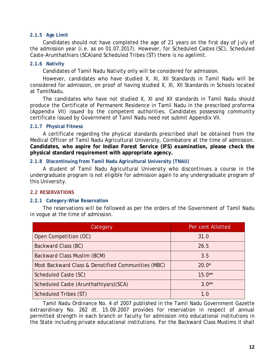#### <span id="page-17-0"></span>**2.1.5 Age Limit**

Candidates should not have completed the age of 21 years on the first day of July of the admission year (*i.e.* as on 01.07.2017). However, for Scheduled Castes (SC), Scheduled Caste-Arunthathiars (SCA)and Scheduled Tribes (ST) there is no agelimit.

#### <span id="page-17-1"></span>**2.1.6 Nativity**

Candidates of Tamil Nadu Nativity only will be considered for admission.

However, candidates who have studied X, XI, XII Standards in Tamil Nadu will be considered for admission, on proof of having studied X, XI, XII Standards in Schools located at TamilNadu.

The candidates who have not studied X, XI and XII standards in Tamil Nadu should produce the Certificate of Permanent Residence in Tamil Nadu in the prescribed proforma (Appendix VII) issued by the competent authorities. Candidates possessing community certificate issued by Government of Tamil Nadu need not submit Appendix VII.

#### <span id="page-17-2"></span>**2.1.7 Physical Fitness**

A certificate regarding the physical standards prescribed shall be obtained from the Medical Officer of Tamil Nadu Agricultural University, Coimbatore at the time of admission. **Candidates, who aspire for Indian Forest Service (IFS) examination, please check the physical standard requirement with appropriate agency.**

#### <span id="page-17-3"></span>**2.1.8 Discontinuing from Tamil Nadu Agricultural University (TNAU)**

A student of Tamil Nadu Agricultural University who discontinues a course in the undergraduate program is not eligible for admission again to any undergraduate program of this University.

#### <span id="page-17-4"></span>**2.2 RESERVATIONS**

#### <span id="page-17-5"></span>**2.2.1 Category-Wise Reservation**

The reservations will be followed as per the orders of the Government of Tamil Nadu in vogue at the time of admission.

| Category                                           | Per cent Allotted |
|----------------------------------------------------|-------------------|
| Open Competition (OC)                              | 31.0              |
| Backward Class (BC)                                | 26.5              |
| Backward Class Muslim (BCM)                        | 3.5               |
| Most Backward Class & Denotified Communities (MBC) | $20.0*$           |
| Scheduled Caste (SC)                               | $15.0**$          |
| Scheduled Caste (Arunthathiyars) (SCA)             | $3.0**$           |
| Scheduled Tribes (ST)                              | 1.0               |

Tamil Nadu Ordinance No. 4 of 2007 published in the Tamil Nadu Government Gazette extraordinary No. 262 dt. 15.09.2007 provides for reservation in respect of annual permitted strength in each branch or faculty for admission into educational institutions in the State including private educational institutions. For the Backward Class Muslims it shall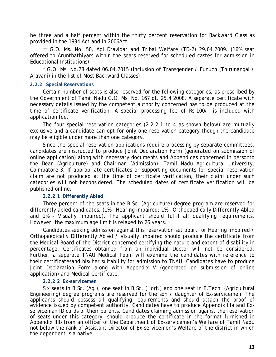be three and a half percent within the thirty percent reservation for Backward Class as provided in the 1994 Act and in 2006Act.

\*\* G.O. Ms. No. 50, Adi Dravidar and Tribal Welfare (TD-2) 29.04.2009. (16% seat offered to Arunthathiyars within the seats reserved for scheduled castes for admission in Educational Institutions).

\* G.O. Ms. No.28 dated 06.04.2015 (Inclusion of Transgender / Eunuch (Thirunangai / Aravani) in the list of Most Backward Classes)

#### <span id="page-18-0"></span>**2.2.2 Special Reservations**

Certain number of seats is also reserved for the following categories, as prescribed by the Government of Tamil Nadu G.O. Ms. No. 167 dt. 25.4.2008. A separate certificate with necessary details issued by the competent authority concerned has to be produced at the time of certificate verification. A special processing fee of Rs.100/- is included with application fee.

The four special reservation categories (2.2.2.1 to 4 as shown below) are mutually exclusive and a candidate can opt for only one reservation category though the candidate may be eligible under more than one category.

Since the special reservation applications require processing by separate committees, candidates are instructed to produce Joint Declaration Form (generated on submission of online application) along with necessary documents and Appendices concerned in personto the Dean (Agriculture) and Chairman (Admission), Tamil Nadu Agricultural University, Coimbatore-3. If appropriate certificates or supporting documents for special reservation claim are not produced at the time of certificate verification, their claim under such categories will not beconsidered. The scheduled dates of certificate verification will be published online.

#### <span id="page-18-1"></span>*2.2.2.1 Differently Abled*

Three percent of the seats in the B.Sc. (Agriculture) degree program are reserved for differently abled candidates. (1% - Hearing impaired; 1% - Orthopaedically Differently Abled and 1% - Visually impaired). The applicant should fulfil all qualifying requirements. However, the maximum age limit is relaxed to 26 years.

Candidates seeking admission against this reservation set apart for Hearing impaired / Orthopaedically Differently Abled / Visually Impaired should produce the certificate from the Medical Board of the District concerned certifying the nature and extent of disability in percentage. Certificates obtained from an individual Doctor will not be considered. Further, a separate TNAU Medical Team will examine the candidates with reference to their certificatesand his/her suitability for admission to TNAU. Candidates have to produce Joint Declaration Form along with Appendix V (generated on submission of online application) and Medical Certificate.

#### *2.2.2.2 Ex-servicemen*

<span id="page-18-2"></span>Six seats in B.Sc. (Ag.), one seat in B.Sc. (Hort.) and one seat in B.Tech. (Agricultural Engineering) degree programs are reserved for the son / daughter of Ex-servicemen. The applicants should possess all qualifying requirements and should attach the proof of evidence issued by competent authority. Candidates have to produce Appendix IIIa and Exserviceman ID cards of their parents. Candidates claiming admission against the reservation of seats under this category, should produce the certificate in the format furnished in Appendix IIIb from an officer of the Department of Ex-servicemen's Welfare of Tamil Nadu not below the rank of Assistant Director of Ex-servicemen's Welfare of the district in which the dependent is a native.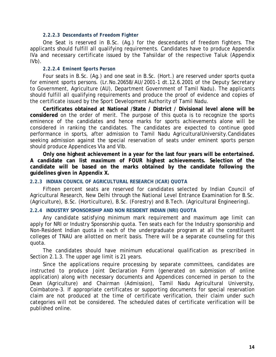#### *2.2.2.3 Descendants of Freedom Fighter*

<span id="page-19-0"></span>One Seat is reserved in B.Sc. (Ag.) for the descendants of freedom fighters. The applicants should fulfill all qualifying requirements. Candidates have to produce Appendix IVa and necessary certificate issued by the Tahsildar of the respective Taluk (Appendix IVb).

#### *2.2.2.4 Eminent Sports Person*

<span id="page-19-1"></span>Four seats in B.Sc. (Ag.) and one seat in B.Sc. (Hort.) are reserved under sports quota for eminent sports persons. (Lr.No.20658/AU/2001-1 dt.12.6.2001 of the Deputy Secretary to Government, Agriculture (AU), Department Government of Tamil Nadu). The applicants should fulfill all qualifying requirements and produce the proof of evidence and copies of the certificate issued by the Sport Development Authority of Tamil Nadu.

**Certificates obtained at National /State / District / Divisional level alone will be considered** on the order of merit. The purpose of this quota is to recognize the sports eminence of the candidates and hence marks for sports achievements alone will be considered in ranking the candidates. The candidates are expected to continue good performance in sports, after admission to Tamil Nadu AgriculturalUniversity.Candidates seeking admission against the special reservation of seats under eminent sports person should produce Appendices VIa and VIb.

**Only one highest achievement in a year for the last four years will be entertained. A candidate can list maximum of FOUR highest achievements. Selection of the candidate will be based on the marks obtained by the candidate following the guidelines given in Appendix X.**

#### <span id="page-19-2"></span>**2.2.3 INDIAN COUNCIL OF AGRICULTURAL RESEARCH (ICAR) QUOTA**

Fifteen percent seats are reserved for candidates selected by Indian Council of Agricultural Research, New Delhi through the National Level Entrance Examination for B.Sc. (Agriculture), B.Sc. (Horticulture), B.Sc. (Forestry) and B.Tech. (Agricultural Engineering).

#### <span id="page-19-3"></span>**2.2.4 INDUSTRY SPONSORSHIP AND NON RESIDENT INDIAN (NRI) QUOTA**

Any candidate satisfying minimum mark requirement and maximum age limit can apply for NRI or Industry Sponsorship quota. Ten seats each for the Industry sponsorship and Non-Resident Indian quota in each of the undergraduate program at all the constituent colleges of TNAU are allotted on merit basis. There will be a separate counseling for this quota.

The candidates should have minimum educational qualification as prescribed in Section 2.1.3. The upper age limit is 21 years.

Since the applications require processing by separate committees, candidates are instructed to produce Joint Declaration Form (generated on submission of online application) along with necessary documents and Appendices concerned in person to the Dean (Agriculture) and Chairman (Admission), Tamil Nadu Agricultural University, Coimbatore-3. If appropriate certificates or supporting documents for special reservation claim are not produced at the time of certificate verification, their claim under such categories will not be considered. The scheduled dates of certificate verification will be published online.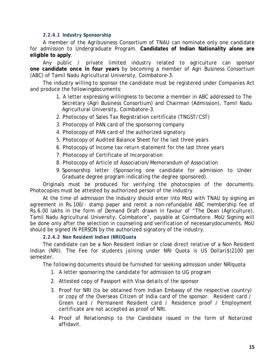#### <span id="page-20-0"></span>*2.2.4.1 Industry Sponsorship*

A member of the Agribusiness Consortium of TNAU can nominate only one candidate for admission to Undergraduate Program. **Candidates of Indian Nationality alone are eligible to apply**.

Any public / private limited industry related to agriculture can sponsor **one candidate once in four years** by becoming a member of Agri Business Consortium (ABC) of Tamil Nadu Agricultural University, Coimbatore-3.

The industry willing to sponsor the candidate must be registered under Companies Act and produce the followingdocuments:

- 1. A letter expressing willingness to become a member in ABC addressed to The Secretary (Agri Business Consortium) and Chairman (Admission), Tamil Nadu Agricultural University, Coimbatore-3.
- 2. Photocopy of Sales Tax Registration certificate (TNGST/CST)
- 3. Photocopy of PAN card of the sponsoring company
- 4. Photocopy of PAN card of the authorized signatory
- 5. Photocopy of Audited Balance Sheet for the last three years
- 6. Photocopy of Income tax return statement for the last three years
- 7. Photocopy of Certificate of Incorporation
- 8. Photocopy of Article of Association/Memorandum of Association
- 9. Sponsorship letter (Sponsoring one candidate for admission to Under Graduate degree program indicating the degree sponsored).

Originals must be produced for verifying the photocopies of the documents. Photocopies must be attested by authorized person of the industry.

At the time of admission the Industry should enter into MoU with TNAU by signing an agreement in Rs.100/- stamp paper and remit a non-refundable ABC membership fee of Rs.6.00 lakhs in the form of Demand Draft drawn in favour of "The Dean (Agriculture), Tamil Nadu Agricultural University, Coimbatore", payable at Coimbatore. MoU Signing will be done only after the selection in counseling and verification of necessarydocuments. MoU should be signed IN PERSON by the authorized signatory of the industry.

*2.2.4.2 Non Resident Indian (NRI)Quota*

<span id="page-20-1"></span>The candidate can be a Non Resident Indian or close direct relative of a Non Resident Indian (NRI). The Fee for students joining under NRI Quota is US Dollar(\$)2100 per semester.

The following documents should be furnished for seeking admission under NRIquota

- 1. A letter sponsoring the candidate for admission to UG program
- 2. Attested copy of Passport with Visa details of the sponsor
- 3. Proof for NRI (to be obtained from Indian Embassy of the respective country) or copy of the Overseas Citizen of India card of the sponsor. Resident card / Green card / Permanent Resident card / Residence proof / Employment certificate are not accepted as proof of NRI.
- 4. Proof of Relationship to the Candidate issued in the form of Notarized affidavit.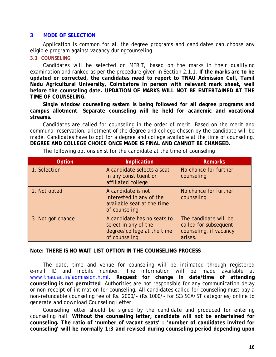#### <span id="page-21-0"></span>**3 MODE OF SELECTION**

Application is common for all the degree programs and candidates can choose any eligible program against vacancy duringcounseling.

#### <span id="page-21-1"></span>**3.1 COUNSELING**

Candidates will be selected on MERIT, based on the marks in their qualifying examination and ranked as per the procedure given in Section 2.1.1. **If the marks are to be updated or corrected, the candidates need to report to TNAU Admission Cell, Tamil Nadu Agricultural University, Coimbatore in person with relevant mark sheet, well before the counseling date. UPDATION OF MARKS WILL NOT BE ENTERTAINED AT THE TIME OF COUNSELING.** 

**Single window counseling system is being followed for all degree programs and campus allotment**. **Separate counseling will be held for academic and vocational streams.**

Candidates are called for counseling in the order of merit. Based on the merit and communal reservation, allotment of the degree and college chosen by the candidate will be made. Candidates have to opt for a degree and college available at the time of counseling. **DEGREE AND COLLEGE CHOICE ONCE MADE IS FINAL AND CANNOT BE CHANGED.**

| Option            | Implication                                                                                         | <b>Remarks</b>                                                                      |
|-------------------|-----------------------------------------------------------------------------------------------------|-------------------------------------------------------------------------------------|
| 1. Selection      | A candidate selects a seat<br>in any constituent or<br>affiliated college                           | No chance for further<br>counseling                                                 |
| 2. Not opted      | A candidate is not<br>interested in any of the<br>available seat at the time<br>of counseling       | No chance for further<br>counseling                                                 |
| 3. Not got chance | A candidate has no seats to<br>select in any of the<br>degree/college at the time<br>of counseling. | The candidate will be<br>called for subsequent<br>counseling, if vacancy<br>arises. |

The following options exist for the candidate at the time of counseling

#### **Note: THERE IS NO WAIT LIST OPTION IN THE COUNSELING PROCESS**

The date, time and venue for counseling will be intimated through registered e-mail ID and mobile number. The information will be made available at [www.tnau.ac.in/admission.html.](http://www.tnau.ac.in/admission.html) **Request for change in date/time of attending counseling is not permitted**. Authorities are not responsible for any communication delay or non-receipt of intimation for counseling. All candidates called for counseling must pay a non-refundable counseling fee of Rs. 2000/- (Rs.1000/- for SC/SCA/ST categories) online to generate and download Counseling Letter.

Counseling letter should be signed by the candidate and produced for entering counseling hall. **Without the counseling letter, candidate will not be entertained for counseling. The ratio of 'number of vacant seats' : 'number of candidates invited for counseling' will be normally 1:3 and revised during counseling period depending upon**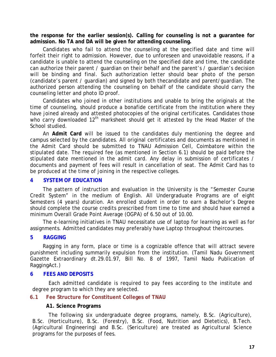**the response for the earlier session(s). Calling for counseling is not a guarantee for admission. No TA and DA will be given for attending counseling.**

Candidates who fail to attend the counseling at the specified date and time will forfeit their right to admission. However, due to unforeseen and unavoidable reasons, if a candidate is unable to attend the counseling on the specified date and time, the candidate can authorize their parent / guardian on their behalf and the parent's / guardian's decision will be binding and final. Such authorization letter should bear photo of the person (candidate's parent / guardian) and signed by both thecandidate and parent/guardian. The authorized person attending the counseling on behalf of the candidate should carry the counseling letter and photo ID proof.

Candidates who joined in other institutions and unable to bring the originals at the time of counseling, should produce a bonafide certificate from the institution where they have joined already and attested photocopies of the original certificates. Candidates those who carry downloaded 12<sup>th</sup> marksheet should get it attested by the Head Master of the School studied.

An **Admit Card** will be issued to the candidates duly mentioning the degree and campus selected by the candidates. All original certificates and documents as mentioned in the Admit Card should be submitted to TNAU Admission Cell, Coimbatore within the stipulated date. The required fee (as mentioned in Section 6.1) should be paid before the stipulated date mentioned in the admit card. Any delay in submission of certificates / documents and payment of fees will result in cancellation of seat. The Admit Card has to be produced at the time of joining in the respective colleges.

#### <span id="page-22-0"></span>**4 SYSTEM OF EDUCATION**

The pattern of instruction and evaluation in the University is the "Semester Course Credit System" in the medium of English. All Undergraduate Programs are of eight Semesters (4 years) duration. An enrolled student in order to earn a Bachelor's Degree should complete the course credits prescribed from time to time and should have earned a minimum Overall Grade Point Average (OGPA) of 6.50 out of 10.00.

The e-learning initiatives in TNAU necessitate use of laptop for learning as well as for assignments. Admitted candidates may preferably have Laptop throughout theircourses.

#### <span id="page-22-1"></span>**5 RAGGING**

Ragging in any form, place or time is a cognizable offence that will attract severe punishment including summarily expulsion from the institution. (Tamil Nadu Government Gazette Extraordinary dt.29.01.97, Bill No. 8 of 1997, Tamil Nadu Publication of RaggingAct.)

#### <span id="page-22-2"></span>**6 FEES AND DEPOSITS**

Each admitted candidate is required to pay fees according to the institute and degree program to which they are selected.

#### <span id="page-22-3"></span>**6.1 Fee Structure for Constituent Colleges of TNAU**

#### **A1. Science Programs**

The following six undergraduate degree programs, namely, B.Sc. (Agriculture), B.Sc. (Horticulture), B.Sc. (Forestry), B.Sc. (Food, Nutrition and Dietetics), B.Tech. (Agricultural Engineering) and B.Sc. (Sericulture) are treated as Agricultural Science programs for the purposes of fees.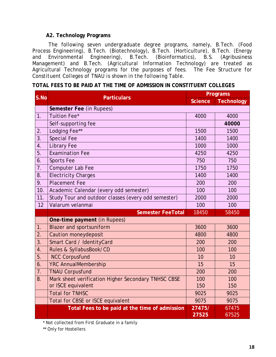#### **A2. Technology Programs**

The following seven undergraduate degree programs, namely, B.Tech. (Food Process Engineering), B.Tech. (Biotechnology), B.Tech. (Horticulture), B.Tech. (Energy and Environmental Engineering), B.Tech. (Bioinformatics), B.S. (Agribusiness and Environmental Engineering), B.Tech. (Bioinformatics), B.S. Management) and B.Tech. (Agricultural Information Technology) are treated as Agricultural Technology programs for the purposes of fees. *The Fee Structure for Constituent Colleges of TNAU is shown in the following Table.*

|  |  |  | TOTAL FEES TO BE PAID AT THE TIME OF ADMISSION IN CONSTITUENT COLLEGES |  |
|--|--|--|------------------------------------------------------------------------|--|
|  |  |  |                                                                        |  |

| S.No             | <b>Particulars</b>                                  | Programs       |            |  |  |  |  |  |  |
|------------------|-----------------------------------------------------|----------------|------------|--|--|--|--|--|--|
|                  |                                                     | <b>Science</b> | Technology |  |  |  |  |  |  |
|                  | Semester Fee (in Rupees)                            |                |            |  |  |  |  |  |  |
| 1 <sub>1</sub>   | Tuition Fee*                                        | 4000           | 4000       |  |  |  |  |  |  |
|                  | Self-supporting fee                                 |                | 40000      |  |  |  |  |  |  |
| 2.               | Lodging Fee**                                       | 1500           | 1500       |  |  |  |  |  |  |
| 3.               | <b>Special Fee</b>                                  | 1400           | 1400       |  |  |  |  |  |  |
| 4.               | <b>Library Fee</b>                                  | 1000           | 1000       |  |  |  |  |  |  |
| 5.               | <b>Examination Fee</b>                              | 4250           | 4250       |  |  |  |  |  |  |
| 6 <sub>1</sub>   | <b>Sports Fee</b>                                   | 750            | 750        |  |  |  |  |  |  |
| 7.               | Computer Lab Fee                                    | 1750           | 1750       |  |  |  |  |  |  |
| 8.               | <b>Electricity Charges</b>                          | 1400           | 1400       |  |  |  |  |  |  |
| 9.               | <b>Placement Fee</b>                                | 200            | 200        |  |  |  |  |  |  |
| 10.              | Academic Calendar (every odd semester)              | 100            | 100        |  |  |  |  |  |  |
| 11.              | Study Tour and outdoor classes (every odd semester) | 2000           | 2000       |  |  |  |  |  |  |
| 12               | Valarum velanmai                                    | 100            | 100        |  |  |  |  |  |  |
|                  | <b>Semester FeeTotal</b>                            | 18450          | 58450      |  |  |  |  |  |  |
|                  | One-time payment (in Rupees)                        |                |            |  |  |  |  |  |  |
| 1.               | <b>Blazer and sportsuniform</b>                     | 3600           | 3600       |  |  |  |  |  |  |
| 2.               | <b>Caution moneydeposit</b>                         | 4800           | 4800       |  |  |  |  |  |  |
| 3.               | Smart Card / IdentityCard                           | 200            | 200        |  |  |  |  |  |  |
| $\overline{4}$ . | Rules & SyllabusBook/CD                             | 100            | 100        |  |  |  |  |  |  |
| 5.               | <b>NCC Corpusfund</b>                               | 10             | 10         |  |  |  |  |  |  |
| 6.               | <b>YRC AnnualMembership</b>                         | 15             | 15         |  |  |  |  |  |  |
| 7.               | <b>TNAU Corpusfund</b>                              | 200            | 200        |  |  |  |  |  |  |
| 8.               | Mark sheet verification Higher Secondary TNHSC CBSE | 100            | 100        |  |  |  |  |  |  |
|                  | or ISCE equivalent                                  | 150            | 150        |  |  |  |  |  |  |
|                  | <b>Total for TNHSC</b>                              | 9025           | 9025       |  |  |  |  |  |  |
|                  | Total for CBSE or ISCE equivalent                   | 9075           | 9075       |  |  |  |  |  |  |
|                  | Total Fees to be paid at the time of admission      | 27475/         | 67475      |  |  |  |  |  |  |
|                  |                                                     | 27525          | 67525      |  |  |  |  |  |  |

\* Not collected from First Graduate in a family

\*\* Only for Hostellers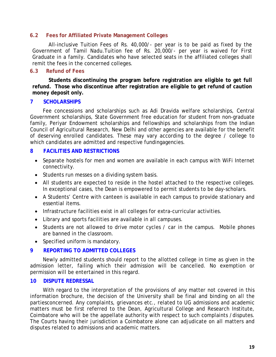#### <span id="page-24-0"></span>**6.2 Fees for Affiliated Private Management Colleges**

All-inclusive Tuition Fees of Rs. 40,000/- per year is to be paid as fixed by the Government of Tamil Nadu.Tuition fee of Rs. 20,000/- per year is waived for First Graduate in a family. Candidates who have selected seats in the affiliated colleges shall remit the fees in the concerned colleges.

#### <span id="page-24-1"></span>**6.3 Refund of Fees**

**Students discontinuing the program before registration are eligible to get full refund. Those who discontinue after registration are eligible to get refund of caution money deposit only.**

#### <span id="page-24-2"></span>**7 SCHOLARSHIPS**

Fee concessions and scholarships such as Adi Dravida welfare scholarships, Central Government scholarships, State Government free education for student from non-graduate family, Periyar Endowment scholarships and fellowships and scholarships from the Indian Council of Agricultural Research, New Delhi and other agencies are available for the benefit of deserving enrolled candidates. These may vary according to the degree / college to which candidates are admitted and respective fundingagencies.

#### <span id="page-24-3"></span>**8 FACILITIES AND RESTRICTIONS**

- Separate hostels for men and women are available in each campus with WiFi Internet connectivity.
- Students run messes on a dividing system basis.
- All students are expected to reside in the hostel attached to the respective colleges. In exceptional cases, the Dean is empowered to permit students to be day-scholars.
- A Students' Centre with canteen is available in each campus to provide stationary and essential items.
- Infrastructure facilities exist in all colleges for extra-curricular activities.
- Library and sports facilities are available in all campuses.
- Students are not allowed to drive motor cycles / car in the campus. Mobile phones are banned in the classroom.
- Specified uniform is mandatory.

## <span id="page-24-4"></span>**9 REPORTING TO ADMITTED COLLEGES**

Newly admitted students should report to the allotted college in time as given in the admission letter, failing which their admission will be cancelled. No exemption or permission will be entertained in this regard.

#### <span id="page-24-5"></span>**10 DISPUTE REDRESSAL**

With regard to the interpretation of the provisions of any matter not covered in this information brochure, the decision of the University shall be final and binding on all the partiesconcerned. Any complaints, grievances *etc.,* related to UG admissions and academic matters must be first referred to the Dean, Agricultural College and Research Institute, Coimbatore who will be the appellate authority with respect to such complaints /disputes. The Courts having their jurisdiction a Coimbatore alone can adjudicate on all matters and disputes related to admissions and academic matters.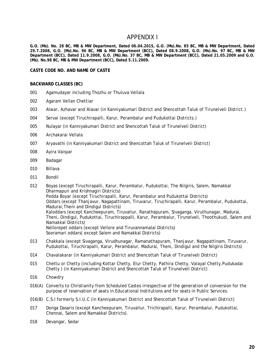#### APPENDIX I

<span id="page-25-0"></span>**G.O. (Ms). No. 28 BC, MB & MW Department, Dated 06.04.2015, G.O. (Ms).No. 85 BC, MB & MW Department, Dated 29.7.2008, G.O. (Ms).No. 96 BC, MB & MW Department (BCC), Dated 08.9.2008, G.O. (Ms).No. 97 BC, MB & MW Department (BCC), Dated 11.9.2008, G.O. (Ms).No. 37 BC, MB & MW Department (BCC), Dated 21.05.2009 and G.O. (Ms). No.98 BC, MB & MW Department (BCC), Dated 5.11.2009.** 

**CASTE CODE NO. AND NAME OF CASTE**

#### **BACKWARD CLASSES (BC)**

- 001 Agamudayar including Thozhu or Thuluva Vellala
- 002 Agaram Vellan Chettiar
- 003 Alwar, Azhavar and Alavar (in Kanniyakumari District and Shencottah Taluk of Tirunelveli District.)
- 004 Servai (except Tiruchirapalli, Karur, Perambalur and Pudukottai Districts.)
- 005 Nulayar (in Kanniyakumari District and Shencottah Taluk of Tirunelveli District)
- 006 Archakarai Vellala
- 007 Aryavathi (in Kanniyakumari District and Shencottah Taluk of Tirunelveli District)
- 008 Ayira Vaisyar
- 009 Badagar
- 010 Billava
- 011 Bondil
- 012 Boyas (except Tiruchirapalli, Karur, Perambalur, Pudukottai, The Nilgiris, Salem, Namakkal Dharmapuri and Krishnagiri Districts) Pedda Boyar (except Tiruchirapalli, Karur, Perambalur and Pudukottai Districts) Oddars (except Thanjavur, Nagapattinam, Tiruvarur, Tiruchirapalli, Karur, Perambalur, Pudukottai, Madurai,Theni and Dindigul Districts) Kaloddars (except Kancheepuram, Tiruvallur, Ranathapuram, Sivaganga, Viruthunagar, Madurai, Theni, Dindigul, Pudukottai, Tiruchirappalli, Karur, Perambalur, Tirunelveli, Thoothukudi, Salem and Namakkal Districts) Nellorepet oddars (except Vellore and Tiruvannamalai Districts) Sooramari oddars( except Salem and Namakkal Districts)
- 013 Chakkala (except Sivaganga, Virudhunagar, Ramanathapuram, Thanjavur, Nagapattinam, Tiruvarur, Pudukottai, Tiruchirapalli, Karur, Perambalur, Madurai, Theni, Dindigul and the Nilgiris Districts)
- 014 Chavalakarar (in Kanniyakumari District and Shencottah Taluk of Tirunelveli District)
- 015 Chettu or Chetty (including Kottar Chetty, Elur Chetty, Pathira Chetty, Valayal Chetty,Pudukadai Chetty ) (in Kanniyakumari District and Shencottah Taluk of Tirunelveli District)
- 016 Chowdry
- 016(A) Converts to Christianity from Scheduled Castes irrespective of the generation of conversion for the purpose of reservation of seats in Educational Institutions and for seats in Public Services.
- 016(B) C.S.I formerly S.I.U.C (in Kanniyakumari District and Shencottah Taluk of Tirunelveli District)
- 017 Donga Dasaris (except Kancheepuram, Tiruvallur, Trichirapalli, Karur, Perambalur, Pudukottai, Chennai, Salem and Namakkal Districts).
- 018 Devangar, Sedar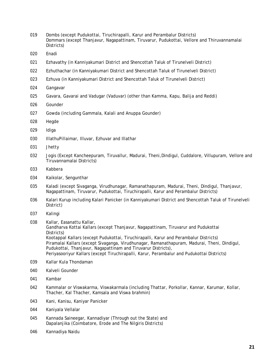- Dombs (except Pudukottai, Tiruchirapalli, Karur and Perambalur Districts) Dommars (except Thanjavur, Nagapattinam, Tiruvarur, Pudukottai, Vellore and Thiruvannamalai Districts)
- Enadi
- Ezhavathy (in Kanniyakumari District and Shencottah Taluk of Tirunelveli District)
- Ezhuthachar (in Kanniyakumari District and Shencottah Taluk of Tirunelveli District)
- Ezhuva (in Kanniyakumari District and Shencottah Taluk of Tirunelveli District)
- Gangavar
- Gavara, Gavarai and Vadugar (Vaduvar) (other than Kamma, Kapu, Balija and Reddi)
- Gounder
- Gowda (including Gammala, Kalali and Anuppa Gounder)
- Hegde
- Idiga
- IllathuPillaimar, Illuvar, Ezhuvar and Illathar
- Jhetty
- Jogis (Except Kancheepuram, Tiruvallur, Madurai, Theni,Dindigul, Cuddalore, Villupuram, Vellore and Tiruvannamalai Districts)
- Kabbera
- Kaikolar, Sengunthar
- Kaladi (except Sivaganga, Virudhunagar, Ramanathapuram, Madurai, Theni, Dindigul, Thanjavur, Nagapattinam, Tiruvarur, Pudukottai, Tiruchirapalli, Karur and Perambalur Districts)
- Kalari Kurup including Kalari Panicker (in Kanniyakumari District and Shencottah Taluk of Tirunelveli District)
- Kalingi
- Kallar, Easanattu Kallar, Gandharva Kottai Kallars (except Thanjavur, Nagapattinam, Tiruvarur and Pudukottai Districts) Kootappal Kallars (except Pudukottai, Tiruchirapalli, Karur and Perambalur Districts) Piramalai Kallars (except Sivaganga, Virudhunagar, Ramanathapuram, Madurai, Theni, Dindigul, Pudukottai, Thanjavur, Nagapattinam and Tiruvarur Districts), Periyasooriyur Kallars (except Tiruchirapalli, Karur, Perambalur and Pudukottai Districts)
- Kallar Kula Thondaman
- Kalveli Gounder
- Kambar
- Kammalar or Viswakarma, Viswakarmala (including Thattar, Porkollar, Kannar, Karumar, Kollar, Thacher, Kal Thacher, Kamsala and Viswa brahmin)
- Kani, Kanisu, Kaniyar Panicker
- Kaniyala Vellalar
- Kannada Saineegar, Kannadiyar (Through out the State) and Dapalanjika (Coimbatore, Erode and The Nilgiris Districts)
- Kannadiya Naidu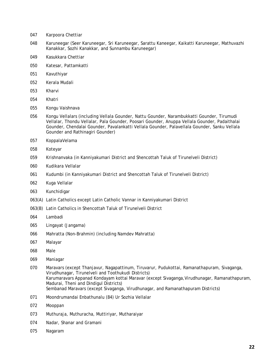- Karpoora Chettiar
- Karuneegar (Seer Karuneegar, Sri Karuneegar, Sarattu Kaneegar, Kaikatti Karuneegar, Mathuvazhi Kanakkar, Sozhi Kanakkar, and Sunnambu Karuneegar)
- Kasukkara Chettiar
- Katesar, Pattamkatti
- Kavuthiyar
- Kerala Mudali
- Kharvi
- Khatri
- Kongu Vaishnava
- Kongu Vellalars (including Vellala Gounder, Nattu Gounder, Narambukkatti Gounder, Tirumudi Vellalar, Thondu Vellalar, Pala Gounder, Poosari Gounder, Anuppa Vellala Gounder, Padaithalai Gounder, Chendalai Gounder, Pavalankatti Vellala Gounder, Palavellala Gounder, Sanku Vellala Gounder and Rathinagiri Gounder)
- KoppalaVelama
- Koteyar
- Krishnanvaka (in Kanniyakumari District and Shencottah Taluk of Tirunelveli District)
- Kudikara Vellalar
- Kudumbi (in Kanniyakumari District and Shencottah Taluk of Tirunelveli District)
- Kuga Vellalar
- Kunchidigar
- 063(A) Latin Catholics except Latin Catholic Vannar in Kanniyakumari District
- 063(B) Latin Catholics in Shencottah Taluk of Tirunelveli District
- Lambadi
- Lingayat (Jangama)
- Mahratta (Non-Brahmin) (including Namdev Mahratta)
- Malayar
- Male
- Maniagar
- Maravars (except Thanjavur, Nagapattinum, Tiruvarur, Pudukottai, Ramanathapuram, Sivaganga, Virudhunagar, Tirunelveli and Toothukudi Districts) Karumaravars Appanad Kondayam kottai Maravar (except Sivaganga,Virudhunagar, Ramanathapuram, Madurai, Theni and Dindigul Districts) Sembanad Maravars (except Sivaganga, Virudhunagar, and Ramanathapuram Districts)
- Moondrumandai Enbathunalu (84) Ur Sozhia Vellalar
- Mooppan
- Muthuraja, Muthuracha, Muttiriyar, Mutharaiyar
- Nadar, Shanar and Gramani
- Nagaram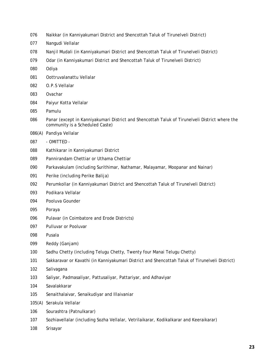- Naikkar (in Kanniyakumari District and Shencottah Taluk of Tirunelveli District)
- Nangudi Vellalar
- Nanjil Mudali (in Kanniyakumari District and Shencottah Taluk of Tirunelveli District)
- Odar (in Kanniyakumari District and Shencottah Taluk of Tirunelveli District)
- Odiya
- Oottruvalanattu Vellalar
- O.P.S Vellalar
- Ovachar
- Paiyur Kotta Vellalar
- Pamulu
- Panar (except in Kanniyakumari District and Shencottah Taluk of Tirunelveli District where the community is a Scheduled Caste)
- 086(A) Pandiya Vellalar
- OMITTED -
- Kathikarar in Kanniyakumari District
- Pannirandam Chettiar or Uthama Chettiar
- Parkavakulam (including Surithimar, Nathamar, Malayamar, Moopanar and Nainar)
- Perike (including Perike Balija)
- Perumkollar (in Kanniyakumari District and Shencottah Taluk of Tirunelveli District)
- Podikara Vellalar
- Pooluva Gounder
- Poraya
- Pulavar (in Coimbatore and Erode Districts)
- Pulluvar or Pooluvar
- Pusala
- Reddy (Ganjam)
- Sadhu Chetty (including Telugu Chetty, Twenty four Manai Telugu Chetty)
- Sakkaravar or Kavathi (in Kanniyakumari District and Shencottah Taluk of Tirunelveli District)
- Salivagana
- Saliyar, Padmasaliyar, Pattusaliyar, Pattariyar, and Adhaviyar
- Savalakkarar
- Senaithalaivar, Senaikudiyar and Illaivaniar
- 105(A) Serakula Vellalar
- Sourashtra (Patnulkarar)
- Sozhiavellalar (including Sozha Vellalar, Vetrilaikarar, Kodikalkarar and Keeraikarar)
- Srisayar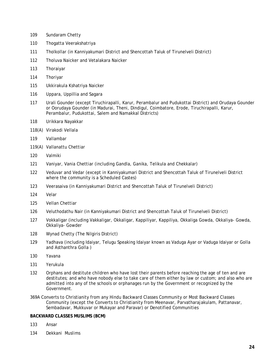- Sundaram Chetty
- Thogatta Veerakshatriya
- Tholkollar (in Kanniyakumari District and Shencottah Taluk of Tirunelveli District)
- Tholuva Naicker and Vetalakara Naicker
- Thoraiyar
- Thoriyar
- Ukkirakula Kshatriya Naicker
- Uppara, Uppillia and Sagara
- Urali Gounder (except Tiruchirapalli, Karur, Perambalur and Pudukottai District) and Orudaya Gounder or Oorudaya Gounder (in Madurai, Theni, Dindigul, Coimbatore, Erode, Tiruchirapalli, Karur, Perambalur, Pudukottai, Salem and Namakkal Districts)
- Urikkara Nayakkar
- 118(A) Virakodi Vellala
- Vallambar
- 119(A) Vallanattu Chettiar
- Valmiki
- Vaniyar, Vania Chettiar (including Gandla, Ganika, Telikula and Chekkalar)
- Veduvar and Vedar (except in Kanniyakumari District and Shencottah Taluk of Tirunelveli District where the community is a Scheduled Castes)
- Veerasaiva (in Kanniyakumari District and Shencottah Taluk of Tirunelveli District)
- Velar
- Vellan Chettiar
- Veluthodathu Nair (in Kanniyakumari District and Shencottah Taluk of Tirunelveli District)
- Vokkaligar (including Vakkaligar, Okkaligar, Kappiliyar, Kappiliya, Okkaliga Gowda, Okkaliya- Gowda, Okkaliya- Gowder
- Wynad Chetty (The Nilgiris District)
- Yadhava (including Idaiyar, Telugu Speaking Idaiyar known as Vaduga Ayar or Vaduga Idaiyar or Golla and Asthanthra Golla )
- Yavana
- Yerukula
- Orphans and destitute children who have lost their parents before reaching the age of ten and are destitutes; and who have nobody else to take care of them either by law or custom; and also who are admitted into any of the schools or orphanages run by the Government or recognized by the Government.
- 369A Converts to Christianity from any Hindu Backward Classes Community or Most Backward Classes Community (except the Converts to Christianity from Meenavar, Parvatharajakulam, Pattanavar, Sembadavar, Mukkuvar or Mukayar and Paravar) or Denotified Communities

#### **BACKWARD CLASSES MUSLIMS (BCM)**

- Ansar
- Dekkani Muslims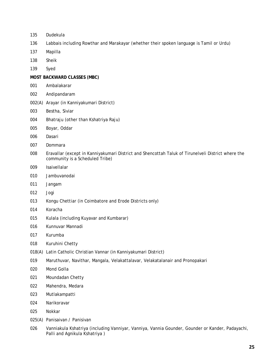- Dudekula
- Labbais including Rowthar and Marakayar (whether their spoken language is Tamil or Urdu)
- Mapilla
- Sheik
- Syed

#### **MOST BACKWARD CLASSES (MBC)**

- Ambalakarar
- Andipandaram
- 002(A) Arayar (in Kanniyakumari District)
- Bestha, Siviar
- Bhatraju (other than Kshatriya Raju)
- Boyar, Oddar
- Dasari
- Dommara
- Eravallar (except in Kanniyakumari District and Shencottah Taluk of Tirunelveli District where the community is a Scheduled Tribe)
- Isaivellalar
- Jambuvanodai
- Jangam
- Jogi
- Kongu Chettiar (in Coimbatore and Erode Districts only)
- Koracha
- Kulala (including Kuyavar and Kumbarar)
- Kunnuvar Mannadi
- Kurumba
- Kuruhini Chetty
- 018(A) Latin Catholic Christian Vannar (in Kanniyakumari District)
- Maruthuvar, Navithar, Mangala, Velakattalavar, Velakatalanair and Pronopakari
- Mond Golla
- Moundadan Chetty
- Mahendra, Medara
- Mutlakampatti
- Narikoravar
- Nokkar
- 025(A) Panisaivan / Panisivan
- Vanniakula Kshatriya (including Vanniyar, Vanniya, Vannia Gounder, Gounder or Kander, Padayachi, Palli and Agnikula Kshatriya )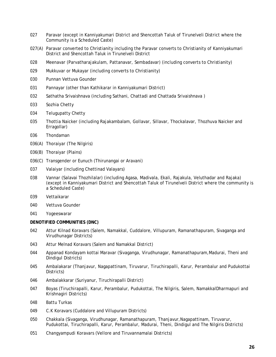- 027 Paravar (except in Kanniyakumari District and Shencottah Taluk of Tirunelveli District where the Community is a Scheduled Caste)
- 027(A) Paravar converted to Christianity including the Paravar converts to Christianity of Kanniyakumari District and Shencottah Taluk in Tirunelveli District
- 028 Meenavar (Parvatharajakulam, Pattanavar, Sembadavar) (including converts to Christianity)
- 029 Mukkuvar or Mukayar (including converts to Christianity)
- 030 Punnan Vettuva Gounder
- 031 Pannayar (other than Kathikarar in Kanniyakumari District)
- 032 Sathatha Srivaishnava (including Sathani, Chattadi and Chattada Srivaishnava )
- 033 Sozhia Chetty
- 034 Telugupatty Chetty
- 035 Thottia Naicker (including Rajakambalam, Gollavar, Sillavar, Thockalavar, Thozhuva Naicker and Erragollar)
- 036 Thondaman
- 036(A) Thoraiyar (The Nilgiris)
- 036(B) Thoraiyar (Plains)
- 036(C) Transgender or Eunuch (Thirunangai or Aravani)
- 037 Valaiyar (including Chettinad Valayars)
- 038 Vannar (Salavai Thozhilalar) (including Agasa, Madivala, Ekali, Rajakula, Veluthadar and Rajaka) (except in Kanniyakumari District and Shencottah Taluk of Tirunelveli District where the community is a Scheduled Caste)
- 039 Vettaikarar
- 040 Vettuva Gounder
- 041 Yogeeswarar

#### **DENOTIFIED COMMUNITIES (DNC)**

- 042 Attur Kilnad Koravars (Salem, Namakkal, Cuddalore, Villupuram, Ramanathapuram, Sivaganga and Virudhunagar Districts)
- 043 Attur Melnad Koravars (Salem and Namakkal District)
- 044 Appanad Kondayam kottai Maravar (Sivaganga, Virudhunagar, Ramanathapuram,Madurai, Theni and Dindigul Districts)
- 045 Ambalakarar (Thanjavur, Nagapattinam, Tiruvarur, Tiruchirapalli, Karur, Perambalur and Pudukottai Districts)
- 046 Ambalakkarar (Suriyanur, Tiruchirapalli District)
- 047 Boyas (Tiruchirapalli, Karur, Perambalur, Pudukottai, The Nilgiris, Salem, NamakkalDharmapuri and Krishnagiri Districts)
- 048 Battu Turkas
- 049 C.K Koravars (Cuddalore and Villupuram Districts)
- 050 Chakkala (Sivaganga, Virudhunagar, Ramanathapuram, Thanjavur, Nagapattinam, Tiruvarur, Pudukottai, Tiruchirapalli, Karur, Perambalur, Madurai, Theni, Dindigul and The Nilgiris Districts)
- 051 Changyampudi Koravars (Vellore and Tiruvannamalai Districts)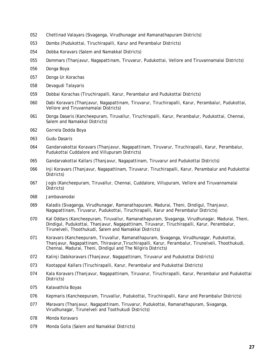- Chettinad Valayars (Sivaganga, Virudhunagar and Ramanathapuram Districts)
- Dombs (Pudukottai, Tiruchirapalli, Karur and Perambalur Districts)
- Dobba Koravars (Salem and Namakkal Districts)
- Dommars (Thanjavur, Nagapattinam, Tiruvarur, Pudukottai, Vellore and Tiruvannamalai Districts)
- Donga Boya
- Donga Ur.Korachas
- Devagudi Talayaris
- Dobbai Korachas (Tiruchirapalli, Karur, Perambalur and Pudukottai Districts)
- Dabi Koravars (Thanjavur, Nagapattinam, Tiruvarur, Tiruchirapalli, Karur, Perambalur, Pudukottai, Vellore and Tiruvannamalai Districts)
- Donga Dasaris (Kancheepuram, Tiruvallur, Tiruchirapalli, Karur, Perambalur, Pudukottai, Chennai, Salem and Namakkal Districts)
- Gorrela Dodda Boya
- Gudu Dasaris
- Gandarvakottai Koravars (Thanjavur, Nagapattinam, Tiruvarur, Tiruchirapalli, Karur, Perambalur, Pudukottai Cuddalore and Villupuram Districts)
- Gandarvakottai Kallars (Thanjavur, Nagapattinam, Tiruvarur and Pudukottai Districts)
- Inji Koravars (Thanjavur, Nagapattinam, Tiruvarur, Tiruchirapalli, Karur, Perambalur and Pudukottai Districts)
- Jogis (Kancheepuram, Tiruvallur, Chennai, Cuddalore, Villupuram, Vellore and Tiruvannamalai Districts)
- Jambavanodai
- Kaladis (Sivaganga, Virudhunagar, Ramanathapuram, Madurai, Theni, Dindigul, Thanjavur, Nagapattinam, Tiruvarur, Pudukottai, Tiruchirapalli, Karur and Perambalur Districts)
- Kal Oddars (Kancheepuram, Tiruvallur, Ramanathapuram, Sivaganga, Virudhunagar, Madurai, Theni, Dindigul, Pudukottai, Thanjavur, Nagapattinam, Tiruvarur, Tiruchirapalli, Karur, Perambalur, Tirunelveli, Thoothukudi, Salem and Namakkal Districts)
- Koravars (Kancheepuram, Tiruvallur, Ramanathapuram, Sivaganga, Virudhunagar, Pudukottai, Thanjavur, Nagapattinam, Thiravarur,Tiruchirapalli, Karur, Perambalur, Tirunelveli, Thoothukudi, Chennai, Madurai, Theni, Dindigul and The Nilgiris Districts)
- Kalinji Dabikoravars (Thanjavur, Nagapattinam, Tiruvarur and Pudukottai Districts)
- Kootappal Kallars (Tiruchirapalli, Karur, Perambalur and Pudukottai Districts)
- Kala Koravars (Thanjavur, Nagapattinam, Tiruvarur, Tiruchirapalli, Karur, Perambalur and Pudukottai Districts)
- Kalavathila Boyas
- Kepmaris (Kancheepuram, Tiruvallur, Pudukottai, Tiruchirapalli, Karur and Perambalur Districts)
- Maravars (Thanjavur, Nagapattinam, Tiruvarur, Pudukottai, Ramanathapuram, Sivaganga, Virudhunagar, Tirunelveli and Toothukudi Districts)
- Monda Koravars
- Monda Golla (Salem and Namakkal Districts)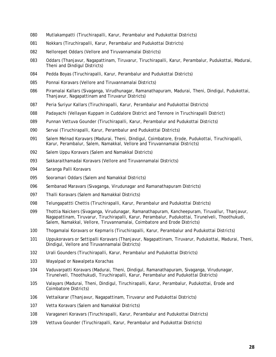- Mutlakampatti (Tiruchirapalli, Karur, Perambalur and Pudukottai Districts)
- Nokkars (Tiruchirapalli, Karur, Perambalur and Pudukottai Districts)
- Nellorepet Oddars (Vellore and Tiruvannamalai Districts)
- Oddars (Thanjavur, Nagapattinam, Tiruvarur, Tiruchirapalli, Karur, Perambalur, Pudukottai, Madurai, Theni and Dindigul Districts)
- Pedda Boyas (Tiruchirapalli, Karur, Perambalur and Pudukottai Districts)
- Ponnai Koravars (Vellore and Tiruvannamalai Districts)
- Piramalai Kallars (Sivaganga, Virudhunagar, Ramanathapuram, Madurai, Theni, Dindigul, Pudukottai, Thanjavur, Nagapattinam and Tiruvarur Districts)
- Peria Suriyur Kallars (Tiruchirapalli, Karur, Perambalur and Pudukottai Districts)
- Padayachi (Vellayan Kuppam in Cuddalore District and Tennore in Tiruchirapalli District)
- Punnan Vettuva Gounder (Tiruchirapalli, Karur, Perambalur and Pudukottai Districts)
- Servai (Tiruchirapalli, Karur, Perambalur and Pudukottai Districts)
- 091 Salem Melnad Koravars (Madurai, Theni, Dindigul, Coimbatore, Erode, Pudukottai, Tiruchirapalli, Karur, Perambalur, Salem, Namakkal, Vellore and Tiruvannamalai Districts)
- Salem Uppu Koravars (Salem and Namakkal Districts)
- Sakkaraithamadai Koravars (Vellore and Tiruvannamalai Districts)
- Saranga Palli Koravars
- Sooramari Oddars (Salem and Namakkal Districts)
- Sembanad Maravars (Sivaganga, Virudunagar and Ramanathapuram Districts)
- Thalli Koravars (Salem and Namakkal Districts)
- Telungapattti Chettis (Tiruchirapalli, Karur, Perambalur and Pudukottai Districts)
- Thottia Naickers (Sivaganga, Virudunagar, Ramanathapuram, Kancheepuram, Tiruvallur, Thanjavur, Nagapattinam, Tiruvarur, Tiruchirapalli, Karur, Perambalur, Pudukottai, Tirunelveli, Thoothukudi, Salem, Namakkal, Vellore, Tiruvannamalai, Coimbatore and Erode Districts)
- Thogamalai Koravars or Kepmaris (Tiruchirapalli, Karur, Perambalur and Pudukottai Districts)
- Uppukoravars or Settipalli Koravars (Thanjavur, Nagapattinam, Tiruvarur, Pudukottai, Madurai, Theni, Dindigul, Vellore and Tiruvannamalai Districts)
- Urali Gounders (Tiruchirapalli, Karur, Perambalur and Pudukottai Districts)
- Wayalpad or Nawalpeta Korachas
- Vaduvarpatti Koravars (Madurai, Theni, Dindigul, Ramanathapuram, Sivaganga, Virudunagar, Tirunelveli, Thoothukudi, Tiruchirapalli, Karur, Perambalur and Pudukottai Districts)
- Valayars (Madurai, Theni, Dindigul, Tiruchirapalli, Karur, Perambalur, Pudukottai, Erode and Coimbatore Districts)
- Vettaikarar (Thanjavur, Nagapattinam, Tiruvarur and Pudukottai Districts)
- Vetta Koravars (Salem and Namakkal Districts)
- Varaganeri Koravars (Tiruchirapalli, Karur, Perambalur and Pudukottai Districts)
- Vettuva Gounder (Tiruchirapalli, Karur, Perambalur and Pudukottai Districts)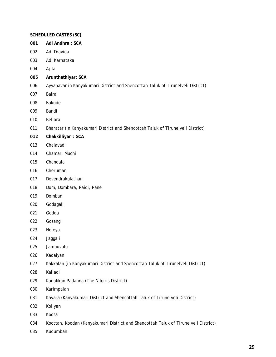#### **SCHEDULED CASTES (SC)**

- **Adi Andhra : SCA**
- Adi Dravida
- Adi Karnataka
- Ajila
- **Arunthathiyar: SCA**
- Ayyanavar in Kanyakumari District and Shencottah Taluk of Tirunelveli District)
- Baira
- Bakude
- Bandi
- Bellara
- Bharatar (in Kanyakumari District and Shencottah Taluk of Tirunelveli District)
- **Chakkilliyan : SCA**
- Chalavadi
- Chamar, Muchi
- Chandala
- Cheruman
- Devendrakulathan
- Dom, Dombara, Paidi, Pane
- Domban
- Godagali
- Godda
- Gosangi
- Holeya
- Jaggali
- Jambuvulu
- Kadaiyan
- Kakkalan (in Kanyakumari District and Shencottah Taluk of Tirunelveli District)
- Kalladi
- Kanakkan Padanna (The Nilgiris District)
- Karimpalan
- Kavara (Kanyakumari District and Shencottah Taluk of Tirunelveli District)
- Koliyan
- Koosa
- Koottan, Koodan (Kanyakumari District and Shencottah Taluk of Tirunelveli District)
- Kudumban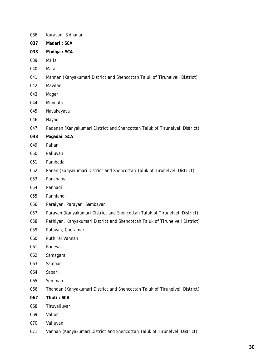| 036 | Kuravan, Sidhanar                                                            |
|-----|------------------------------------------------------------------------------|
| 037 | Madari: SCA                                                                  |
| 038 | Madiga: SCA                                                                  |
| 039 | Maila                                                                        |
| 040 | Mala                                                                         |
| 041 | Mannan (Kanyakumari District and Shencottah Taluk of Tirunelveli District)   |
| 042 | Mavilan                                                                      |
| 043 | Moger                                                                        |
| 044 | Mundala                                                                      |
| 045 | Nayakeyava                                                                   |
| 046 | Nayadi                                                                       |
| 047 | Padanan (Kanyakumari District and Shencottah Taluk of Tirunelveli District)  |
| 048 | Pagadai: SCA                                                                 |
| 049 | Pallan                                                                       |
| 050 | Palluvan                                                                     |
| 051 | Pambada                                                                      |
| 052 | Panan (Kanyakumari District and Shencottah Taluk of Tirunelveli District)    |
| 053 | Panchama                                                                     |
| 054 | Pannadi                                                                      |
| 055 | Panniandi                                                                    |
| 056 | Paraiyan, Parayan, Sambavar                                                  |
| 057 | Paravan (Kanyakumari District and Shencottah Taluk of Tirunelveli District)  |
| 058 | Pathiyan, Kanyakumari District and Shencottah Taluk of Tirunelveli District) |
| 059 | Pulayan, Cheramar                                                            |
| 060 | Puthirai Vannan                                                              |
| 061 | Raneyar                                                                      |
| 062 | Samagara                                                                     |
| 063 | Samban                                                                       |
| 064 | Sapari                                                                       |
| 065 | Semman                                                                       |
| 066 | Thandan (Kanyakumari District and Shencottah Taluk of Tirunelveli District)  |
| 067 | Thoti: SCA                                                                   |
| 068 | Tiruvalluvar                                                                 |
| 069 | Vallon                                                                       |
| 070 | Valluvan                                                                     |
| 071 | Vannan (Kanyakumari District and Shencottah Taluk of Tirunelveli District)   |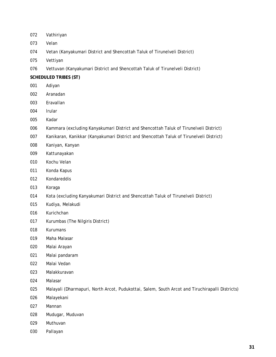- Vathiriyan
- Velan
- Vetan (Kanyakumari District and Shencottah Taluk of Tirunelveli District)
- Vettiyan
- Vettuvan (Kanyakumari District and Shencottah Taluk of Tirunelveli District)

#### **SCHEDULED TRIBES (ST)**

- Adiyan
- Aranadan
- Eravallan
- lrular
- Kadar
- Kammara (excluding Kanyakumari District and Shencottah Taluk of Tirunelveli District)
- Kanikaran, Kanikkar (Kanyakumari District and Shencottah Taluk of Tirunelveli District)
- Kaniyan, Kanyan
- Kattunayakan
- Kochu Velan
- Konda Kapus
- Kondareddis
- Koraga
- Kota (excluding Kanyakumari District and Shencottah Taluk of Tirunelveli District)
- Kudiya, Melakudi
- Kurichchan
- Kurumbas (The Nilgiris District)
- Kurumans
- Maha Malasar
- Malai Arayan
- Malai pandaram
- Malai Vedan
- Malakkuravan
- Malasar
- Malayali (Dharmapuri, North Arcot, Pudukottai, Salem, South Arcot and Tiruchirapalli Districts)
- Malayekani
- Mannan
- Mudugar, Muduvan
- Muthuvan
- Pallayan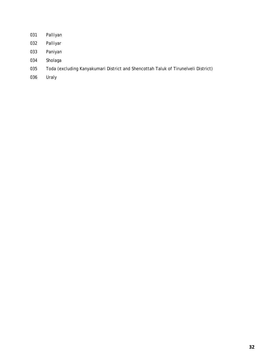- Palliyan
- Palliyar
- Paniyan
- Sholaga
- Toda (excluding Kanyakumari District and Shencottah Taluk of Tirunelveli District)
- Uraly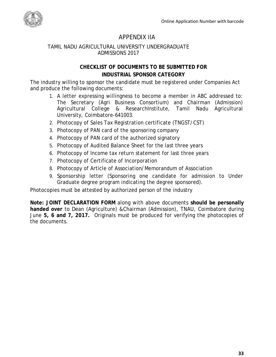

## APPENDIX IIA

#### <span id="page-38-0"></span>TAMIL NADU AGRICULTURAL UNIVERSITY UNDERGRADUATE ADMISSIONS 2017

## **CHECKLIST OF DOCUMENTS TO BE SUBMITTED FOR INDUSTRIAL SPONSOR CATEGORY**

The industry willing to sponsor the candidate must be registered under Companies Act and produce the following documents:

- 1. A letter expressing willingness to become a member in ABC addressed to: The Secretary (Agri Business Consortium) and Chairman (Admission) Agricultural College & ResearchInstitute, Tamil Nadu Agricultural University, Coimbatore-641003.
- 2. Photocopy of Sales Tax Registration certificate (TNGST/CST)
- 3. Photocopy of PAN card of the sponsoring company
- 4. Photocopy of PAN card of the authorized signatory
- 5. Photocopy of Audited Balance Sheet for the last three years
- 6. Photocopy of Income tax return statement for last three years
- 7. Photocopy of Certificate of Incorporation
- 8. Photocopy of Article of Association/Memorandum of Association
- 9. Sponsorship letter (Sponsoring one candidate for admission to Under Graduate degree program indicating the degree sponsored).

Photocopies must be attested by authorized person of the industry

**Note: JOINT DECLARATION FORM** along with above documents **should be personally handed over** to Dean (Agriculture) &Chairman (Admission), TNAU, Coimbatore during June **5, 6 and 7, 2017.** Originals must be produced for verifying the photocopies of the documents.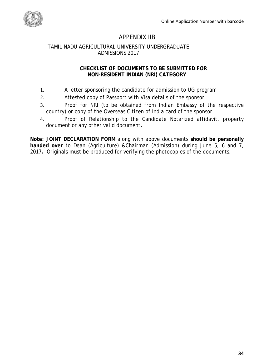

## APPENDIX IIB

#### <span id="page-39-0"></span>TAMIL NADU AGRICULTURAL UNIVERSITY UNDERGRADUATE ADMISSIONS 2017

#### **CHECKLIST OF DOCUMENTS TO BE SUBMITTED FOR NON-RESIDENT INDIAN (NRI) CATEGORY**

- 1. A letter sponsoring the candidate for admission to UG program
- 2. Attested copy of Passport with Visa details of the sponsor.
- 3. Proof for NRI (to be obtained from Indian Embassy of the respective country) or copy of the Overseas Citizen of India card of the sponsor.
- 4. Proof of Relationship to the Candidate Notarized affidavit, property document or any other valid document**.**

**Note: JOINT DECLARATION FORM** along with above documents **should be personally handed over** to Dean (Agriculture) &Chairman (Admission) during June 5, 6 and 7, 2017**.** Originals must be produced for verifying the photocopies of the documents.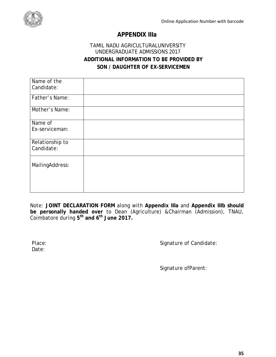

## **APPENDIX IIIa**

## TAMIL NADU AGRICULTURALUNIVERSITY UNDERGRADUATE ADMISSIONS 2017 **ADDITIONAL INFORMATION TO BE PROVIDED BY SON / DAUGHTER OF EX-SERVICEMEN**

Note: **JOINT DECLARATION FORM** along with **Appendix IIIa** and **Appendix IIIb should be personally handed over** to Dean (Agriculture) &Chairman (Admission), TNAU, Coimbatore during **5th and 6th June 2017.** 

Date:

Place: Place: Signature of Candidate:

Signature ofParent: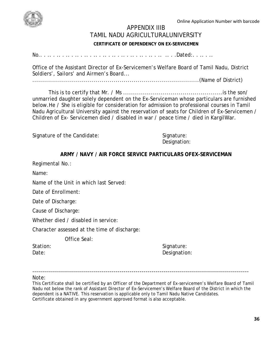Online Application Number with barcode

<span id="page-41-0"></span>

#### APPENDIX IIIB TAMIL NADU AGRICULTURALUNIVERSITY

## **CERTIFICATE OF DEPENDENCY ON EX-SERVICEMEN**

No.. . .. . .. . .. . .. . .. . .. . .. . .. . .. . .. . .. . .. . .. .. . .Dated:. . .. . ..

Office of the Assistant Director of Ex-Servicemen's Welfare Board of Tamil Nadu, District Soldiers', Sailors' and Airmen's Board...

....................................................................................(Name of District)

This is to certify that Mr. / Ms ..................................................is the son/ unmarried daughter solely dependent on the Ex-Serviceman whose particulars are furnished below.He / She is eligible for consideration for admission to professional courses in Tamil Nadu Agricultural University against the reservation of seats for Children of Ex-Servicemen / Children of Ex- Servicemen died / disabled in war / peace time / died in KargilWar.

Signature of the Candidate: Signature: Signature:

Designation:

### **ARMY / NAVY / AIR FORCE SERVICE PARTICULARS OFEX-SERVICEMAN**

Regimental No.:

Name:

Name of the Unit in which last Served:

Date of Enrollment:

Date of Discharge:

Cause of Discharge:

Whether died / disabled in service:

Character assessed at the time of discharge:

Office Seal:

Station: Station: Signature: Signature: Signature: Signature: Signature: Signature: Signature: Signature: Signature: Signature: Signature: Signature: Signature: Signature: Signature: Signature: Signature: Signature: Signat Date: Designation:

#### ------------------------------------------------------------------------------------------------------------- Note:

This Certificate shall be certified by an Officer of the Department of Ex-servicemen's Welfare Board of Tamil Nadu not below the rank of Assistant Director of Ex-Servicemen's Welfare Board of the District in which the dependent is a NATIVE. This reservation is applicable only to Tamil Nadu Native Candidates. Certificate obtained in any government approved format is also acceptable.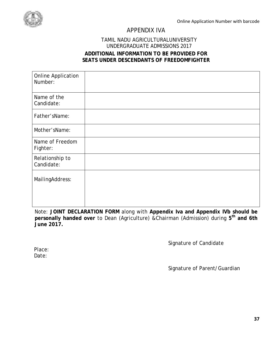<span id="page-42-0"></span>

## APPENDIX IVA

#### TAMIL NADU AGRICULTURALUNIVERSITY UNDERGRADUATE ADMISSIONS 2017 **ADDITIONAL INFORMATION TO BE PROVIDED FOR SEATS UNDER DESCENDANTS OF FREEDOMFIGHTER**

| <b>Online Application</b><br>Number: |  |
|--------------------------------------|--|
| Name of the<br>Candidate:            |  |
| Father'sName:                        |  |
| Mother'sName:                        |  |
| Name of Freedom<br>Fighter:          |  |
| Relationship to<br>Candidate:        |  |
| MailingAddress:                      |  |

Note: **JOINT DECLARATION FORM** along with **Appendix Iva and Appendix IVb should be personally handed over** to Dean (Agriculture) &Chairman (Admission) during **5th and 6th June 2017.**

Signature of Candidate

Place: Date:

Signature of Parent/Guardian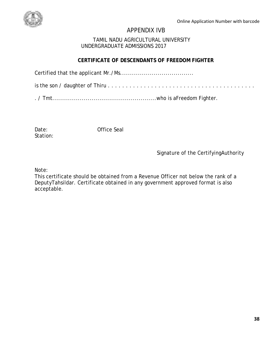<span id="page-43-0"></span>

## APPENDIX IVB

#### TAMIL NADU AGRICULTURAL UNIVERSITY UNDERGRADUATE ADMISSIONS 2017

## **CERTIFICATE OF DESCENDANTS OF FREEDOM FIGHTER**

|--|--|--|--|

Station:

Date: Office Seal

## Signature of the CertifyingAuthority

Note:

This certificate should be obtained from a Revenue Officer not below the rank of a DeputyTahsildar. Certificate obtained in any government approved format is also acceptable.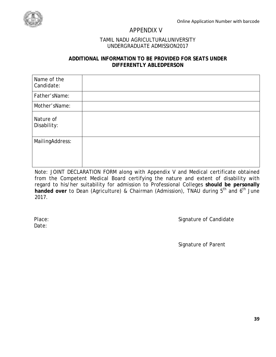<span id="page-44-0"></span>

## APPENDIX V

#### TAMIL NADU AGRICULTURALUNIVERSITY UNDERGRADUATE ADMISSION2017

#### **ADDITIONAL INFORMATION TO BE PROVIDED FOR SEATS UNDER DIFFERENTLY ABLEDPERSON**

| Name of the<br>Candidate: |  |
|---------------------------|--|
| Father'sName:             |  |
| Mother'sName:             |  |
| Nature of<br>Disability:  |  |
| MailingAddress:           |  |
|                           |  |

Note: JOINT DECLARATION FORM along with Appendix V and Medical certificate obtained from the Competent Medical Board certifying the nature and extent of disability with regard to his/her suitability for admission to Professional Colleges **should be personally**  handed over to Dean (Agriculture) & Chairman (Admission), TNAU during 5<sup>th</sup> and 6<sup>th</sup> June 2017.

Date:

Place: Signature of Candidate

Signature of Parent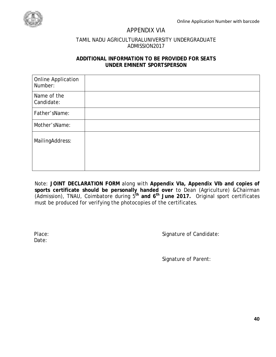<span id="page-45-0"></span>

## APPENDIX VIA

#### TAMIL NADU AGRICULTURALUNIVERSITY UNDERGRADUATE ADMISSION2017

#### **ADDITIONAL INFORMATION TO BE PROVIDED FOR SEATS UNDER EMINENT SPORTSPERSON**

| <b>Online Application</b><br>Number: |  |
|--------------------------------------|--|
| Name of the<br>Candidate:            |  |
| Father'sName:                        |  |
| Mother'sName:                        |  |
| MailingAddress:                      |  |

Note: **JOINT DECLARATION FORM** along with **Appendix VIa, Appendix VIb and copies of sports certificate should be personally handed over** to Dean (Agriculture) &Chairman (Admission), TNAU, Coimbatore during 5**th and 6th June 2017.** Original sport certificates must be produced for verifying the photocopies of the certificates.

Date:

Place: Signature of Candidate:

Signature of Parent: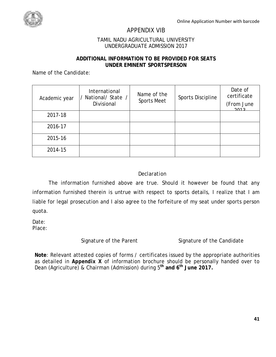## APPENDIX VIB

#### TAMIL NADU AGRICULTURAL UNIVERSITY UNDERGRADUATE ADMISSION 2017

#### **ADDITIONAL INFORMATION TO BE PROVIDED FOR SEATS UNDER EMINENT SPORTSPERSON**

<span id="page-46-0"></span>Name of the Candidate:

| Academic year | International<br>National/State<br>Divisional | Name of the<br><b>Sports Meet</b> | <b>Sports Discipline</b> | Date of<br>certificate<br>(From June<br>2012 |
|---------------|-----------------------------------------------|-----------------------------------|--------------------------|----------------------------------------------|
| 2017-18       |                                               |                                   |                          |                                              |
| 2016-17       |                                               |                                   |                          |                                              |
| 2015-16       |                                               |                                   |                          |                                              |
| 2014-15       |                                               |                                   |                          |                                              |

#### *Declaration*

The information furnished above are true. Should it however be found that any information furnished therein is untrue with respect to sports details, I realize that I am liable for legal prosecution and I also agree to the forfeiture of my seat under sports person quota.

Date: Place:

Signature of the Parent Signature of the Candidate

**Note**: Relevant attested copies of forms / certificates issued by the appropriate authorities as detailed in *Appendix X* of information brochure should be personally handed over to Dean (Agriculture) & Chairman (Admission) during 5**th and 6th June 2017.**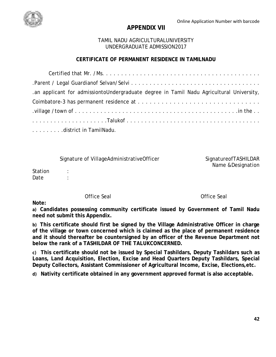

## **APPENDIX VII**

### TAMIL NADU AGRICULTURALUNIVERSITY UNDERGRADUATE ADMISSION2017

## **CERTIFICATE OF PERMANENT RESIDENCE IN TAMILNADU**

| .an applicant for admissiontoUndergraduate degree in Tamil Nadu Agricultural University, |
|------------------------------------------------------------------------------------------|
|                                                                                          |
|                                                                                          |
|                                                                                          |
| district in TamilNadu.                                                                   |

Signature of VillageAdministrativeOfficer SignatureofTASHILDAR

Name &Designation

Station : Date :

Office Seal Office Seal

**Note:**

**a) Candidates possessing community certificate issued by Government of Tamil Nadu need not submit this Appendix.**

**b) This certificate should first be signed by the Village Administrative Officer in charge of the village or town concerned which is claimed as the place of permanent residence and it should thereafter be countersigned by an officer of the Revenue Department not below the rank of a TASHILDAR OF THE TALUKCONCERNED.**

**c) This certificate should not be issued by Special Tashildars, Deputy Tashildars such as Loans, Land Acquisition, Election, Excise and Head Quarters Deputy Tashildars, Special Deputy Collectors, Assistant Commissioner of Agricultural Income, Excise, Elections,etc.**

**d) Nativity certificate obtained in any government approved format is also acceptable.**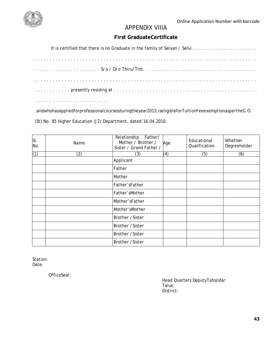<span id="page-48-0"></span>

## APPENDIX VIIIA

## **First GraduateCertificate**

| a de la caractería de la caractería de la caractería de la caractería |  |  |  |  |  |  |  |  |  |  |  |  |  |  |  |  |  |  |  |  |  |  |  |  |  |
|-----------------------------------------------------------------------|--|--|--|--|--|--|--|--|--|--|--|--|--|--|--|--|--|--|--|--|--|--|--|--|--|

.andwhohasappliedforprofessionalcoursesduringtheyear2013,iseligibleforTuitionFeeexemptionaspertheG.O.

(St) No. 85 Higher Education (J2) Department, dated:16.04.2010.

| SI.<br>No. | Name | Relationship<br>Father/<br>Mother / Brother /<br>Sister / Grand Father / | Age | Educational<br>Qualification | Whether<br>Degreeholder |
|------------|------|--------------------------------------------------------------------------|-----|------------------------------|-------------------------|
| (1)        | (2)  | (3)                                                                      | (4) | (5)                          | (6)                     |
|            |      | Applicant                                                                |     |                              |                         |
|            |      | Father                                                                   |     |                              |                         |
|            |      | Mother                                                                   |     |                              |                         |
|            |      | Father'sFather                                                           |     |                              |                         |
|            |      | Father'sMother                                                           |     |                              |                         |
|            |      | Mother'sFather                                                           |     |                              |                         |
|            |      | Mother'sMother                                                           |     |                              |                         |
|            |      | Brother /Sister                                                          |     |                              |                         |
|            |      | Brother /Sister                                                          |     |                              |                         |
|            |      | <b>Brother /Sister</b>                                                   |     |                              |                         |
|            |      | Brother /Sister                                                          |     |                              |                         |

Station: Date:

OfficeSeal:

Head Quarters DeputyTahsildar Taluk: District: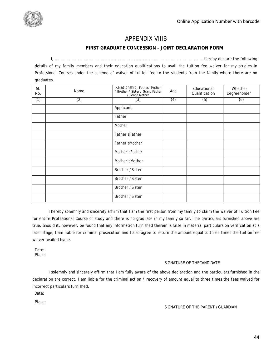

## APPENDIX VIIIB

#### **FIRST GRADUATE CONCESSION – JOINT DECLARATION FORM**

<span id="page-49-0"></span>I, . . . . . . . . . . . . . . . . . . . . . . . . . . . . . . . . . . . . . . . . . . . . . . . . . . . . .hereby declare the following details of my family members and their education qualifications to avail the tuition fee waiver for my studies in Professional Courses under the scheme of waiver of tuition fee to the students from the family where there are no graduates.

| SI.<br>No. | Name | Relationship: Father/Mother<br>/ Brother / Sister / Grand Father<br>/ Grand Mother | Age | Educational<br>Qualification | Whether<br>Degreeholder |
|------------|------|------------------------------------------------------------------------------------|-----|------------------------------|-------------------------|
| (1)        | (2)  | (3)                                                                                | (4) | (5)                          | (6)                     |
|            |      | Applicant                                                                          |     |                              |                         |
|            |      | Father                                                                             |     |                              |                         |
|            |      | Mother                                                                             |     |                              |                         |
|            |      | Father'sFather                                                                     |     |                              |                         |
|            |      | Father'sMother                                                                     |     |                              |                         |
|            |      | Mother'sFather                                                                     |     |                              |                         |
|            |      | Mother'sMother                                                                     |     |                              |                         |
|            |      | Brother /Sister                                                                    |     |                              |                         |
|            |      | Brother /Sister                                                                    |     |                              |                         |
|            |      | Brother /Sister                                                                    |     |                              |                         |
|            |      | Brother /Sister                                                                    |     |                              |                         |

I hereby solemnly and sincerely affirm that I am the first person from my family to claim the waiver of Tuition Fee for entire Professional Course of study and there is no graduate in my family so far. The particulars furnished above are true. Should it, however, be found that any information furnished therein is false in material particulars on verification at a later stage, I am liable for criminal prosecution and I also agree to return the amount equal to three times the tuition fee waiver availed byme.

Date: Place:

#### SIGNATURE OF THECANDIDATE

I solemnly and sincerely affirm that I am fully aware of the above declaration and the particulars furnished in the declaration are correct. I am liable for the criminal action / recovery of amount equal to three times the fees waived for incorrect particulars furnished.

Date:

Place:

#### SIGNATURE OF THE PARENT /GUARDIAN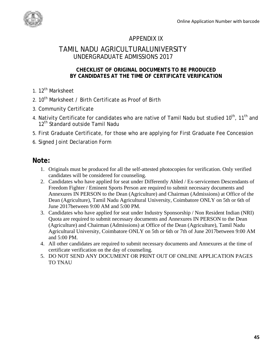<span id="page-50-0"></span>

## APPENDIX IX

## TAMIL NADU AGRICULTURALUNIVERSITY UNDERGRADUATE ADMISSIONS 2017

## **CHECKLIST OF ORIGINAL DOCUMENTS TO BE PRODUCED BY CANDIDATES AT THE TIME OF CERTIFICATE VERIFICATION**

- 1. 12<sup>th</sup> Marksheet
- 2.  $10^{th}$  Marksheet / Birth Certificate as Proof of Birth
- 3. Community Certificate
- 4. Nativity Certificate for candidates who are native of Tamil Nadu but studied 10<sup>th</sup>, 11<sup>th</sup> and 12<sup>th</sup> Standard outside Tamil Nadu
- 5. First Graduate Certificate, for those who are applying for First Graduate Fee Concession
- 6. Signed Joint Declaration Form

## **Note:**

- 1. Originals must be produced for all the self-attested photocopies for verification. Only verified candidates will be considered for counseling.
- 2. Candidates who have applied for seat under Differently Abled / Ex-servicemen Descendants of Freedom Fighter / Eminent Sports Person are required to submit necessary documents and Annexures IN PERSON to the Dean (Agriculture) and Chairman (Admissions) at Office of the Dean (Agriculture), Tamil Nadu Agricultural University, Coimbatore ONLY on 5th or 6th of June 2017between 9:00 AM and 5:00 PM.
- 3. Candidates who have applied for seat under Industry Sponsorship / Non Resident Indian (NRI) Quota are required to submit necessary documents and Annexures IN PERSON to the Dean (Agriculture) and Chairman (Admissions) at Office of the Dean (Agriculture), Tamil Nadu Agricultural University, Coimbatore ONLY on 5th or 6th or 7th of June 2017between 9:00 AM and 5:00 PM.
- 4. All other candidates are required to submit necessary documents and Annexures at the time of certificate verification on the day of counseling.
- 5. DO NOT SEND ANY DOCUMENT OR PRINT OUT OF ONLINE APPLICATION PAGES TO TNAU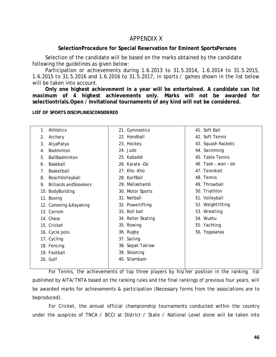## APPENDIX X

#### **SelectionProcedure for Special Reservation for Eminent SportsPersons**

<span id="page-51-0"></span>Selection of the candidate will be based on the marks obtained by the candidate following the guidelines as given below:

Participation or achievements during 1.6.2013 to 31.5.2014, 1.6.2014 to 31.5.2015, 1.6.2015 to 31.5.2016 and 1.6.2016 to 31.5.2017, in sports / games shown in the list below will be taken into account.

**Only one highest achievement in a year will be entertained. A candidate can list maximum of 4 highest achievements only. Marks will not be awarded for selectiontrials.Open / Invitational tournaments of any kind will not be considered.**

**LIST OF SPORTS DISCIPLINESCONSIDERED**

| Athletics<br>1.                     | 21. Gymnastics     | 41. Soft Ball       |
|-------------------------------------|--------------------|---------------------|
| Archery<br>2.                       | 22. Handball       | 42. Soft Tennis     |
| AtyaPatya<br>3.                     | 23. Hockey         | 43. Squash Rackets  |
| <b>Badminton</b><br>4.              | 24. Judo           | 44. Swimming        |
| BallBadminton<br>5.                 | 25. Kabaddi        | 45. Table Tennis    |
| Baseball<br>6.                      | 26. Karate -Do     | 46. Taek - won - do |
| Basketball<br>7.                    | 27. Kho -Kho       | 47. Tennikoit       |
| BeachVolleyball<br>8.               | 28. KorfBall       | 48. Tennis          |
| <b>Billiards and Snookers</b><br>9. | 29. Mallakhamb     | 49. Throwball       |
| 10. BodyBuilding                    | 30. Motor Sports   | 50. Triathlon       |
| 11. Boxing                          | 31. Netball        | 51. Volleyball      |
| 12. Canoeing & Kayaking             | 32. Powerlifting   | 52. Weightlifting   |
| 13. Carrom                          | 33. Roll ball      | 53. Wrestling       |
| 14. Chess                           | 34. Roller Skating | 54. Wushu           |
| 15. Cricket                         | 35. Rowing         | 55. Yachting        |
| 16. Cycle polo                      | 36. Rugby          | 56. Yogasanas       |
| 17. Cycling                         | 37. Sailing        |                     |
| 18. Fencing                         | 38. Sepak Takraw   |                     |
| 19. Football                        | 39. Shooting       |                     |
| 20. Golf                            | 40. Silambam       |                     |
|                                     |                    |                     |

For Tennis, the achievements of top three players by his/her position in the ranking list published by AITA/TNTA based on the ranking rules and the final rankings of previous four years, will be awarded marks for achievements & participation (Necessary forms from the associations are to beproduced).

For Cricket, the annual official championship tournaments conducted within the country under the auspices of TNCA / BCCI at District / State / National Level alone will be taken into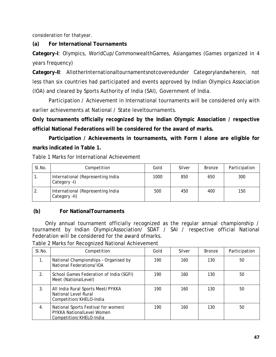consideration for thatyear.

## **(a) For International Tournaments**

**Category–I**: Olympics, WorldCup/CommonwealthGames, Asiangames (Games organized in 4 years frequency)

**Category–II**: AllotherInternationaltournamentsnotcoveredunder CategoryIandwherein, not less than six countries had participated and events approved by Indian Olympics Association (IOA) and cleared by Sports Authority of India (SAI), Government of India.

Participation / Achievement in International tournaments will be considered only with earlier achievements at National / State leveltournaments.

**Only tournaments officially recognized by the Indian Olympic Association / respective official National Federations will be considered for the award of marks.**

**Participation / Achievements in tournaments, with Form I alone are eligible for marks indicated in Table 1.**

Table 1 Marks for International Achievement

| SI.No. | Competition                                        | Gold | Silver | <b>Bronze</b> | Participation |
|--------|----------------------------------------------------|------|--------|---------------|---------------|
| . .    | International (Representing India<br>Category -I)  | 1000 | 850    | 650           | 300           |
| 2.     | International (Representing India<br>Category -II) | 500  | 450    | 400           | 150           |

## **(b) For NationalTournaments**

Only annual tournament officially recognized as the regular annual championship / tournament by Indian OlympicAssociation/ SDAT / SAI / respective official National Federation will be considered for the award ofmarks.

Table 2 Marks for Recognized National Achievement

| $SI$ . No.     | Competition                                                                                        | Gold | Silver | <b>Bronze</b> | Participation |
|----------------|----------------------------------------------------------------------------------------------------|------|--------|---------------|---------------|
| 1.             | National Championships - Organised by<br>National Federations/IOA                                  | 190  | 160    | 130           | 50            |
| 2 <sub>1</sub> | School Games Federation of India (SGFI)<br>Meet (NationalLevel)                                    | 190  | 160    | 130           | 50            |
| 3.             | All India Rural Sports Meet/PYKKA<br>National Level Rural<br>Competition/KHELO-India               | 190  | 160    | 130           | 50            |
| 4 <sub>1</sub> | National Sports Festival for women/<br><b>PYKKA NationalLevel Women</b><br>Competition/KHELO-India | 190  | 160    | 130           | 50            |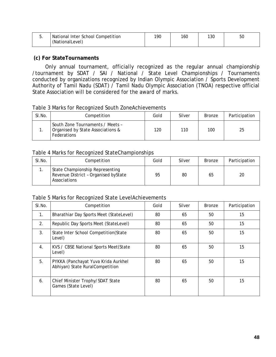| ັ. | National Inter School Competition<br>(NationalLevel) | 190 | 160 | 130 | 50 |
|----|------------------------------------------------------|-----|-----|-----|----|
|----|------------------------------------------------------|-----|-----|-----|----|

#### **(c) For StateTournaments**

Only annual tournament, officially recognized as the regular annual championship /tournament by SDAT / SAI / National / State Level Championships / Tournaments conducted by organizations recognized by Indian Olympic Association / Sports Development Authority of Tamil Nadu (SDAT) / Tamil Nadu Olympic Association (TNOA) respective official State Association will be considered for the award of marks.

Table 3 Marks for Recognized South ZoneAchievements

| SI.No. | Competition                                                                          | Gold | Silver | <b>Bronze</b> | Participation |
|--------|--------------------------------------------------------------------------------------|------|--------|---------------|---------------|
|        | South Zone Tournaments / Meets -<br>Organised by State Associations &<br>Federations | 120  | 110    | 100           | 25            |

#### Table 4 Marks for Recognized StateChampionships

| SI.No. | Competition                                                                             | Gold | Silver | Bronze | Participation |
|--------|-----------------------------------------------------------------------------------------|------|--------|--------|---------------|
|        | State Championship Representing<br>Revenue District - Organised byState<br>Associations | 95   | 80     | 65     | 20            |

#### Table 5 Marks for Recognized State LevelAchievements

| SI.No.           | Competition                                                            | Gold | Silver | <b>Bronze</b> | Participation |
|------------------|------------------------------------------------------------------------|------|--------|---------------|---------------|
| 1.               | Bharathiar Day Sports Meet (StateLevel)                                | 80   | 65     | 50            | 15            |
| 2.               | Republic Day Sports Meet (StateLevel)                                  | 80   | 65     | 50            | 15            |
| 3 <sub>1</sub>   | State Inter School Competition(State<br>Level)                         | 80   | 65     | 50            | 15            |
| $\overline{4}$ . | KVS / CBSE National Sports Meet (State<br>Level)                       | 80   | 65     | 50            | 15            |
| 5.               | PYKKA (Panchayat Yuva Krida Aurkhel<br>Abhiyan) State RuralCompetition | 80   | 65     | 50            | 15            |
| 6.               | Chief Minister Trophy/SDAT State<br>Games (State Level)                | 80   | 65     | 50            | 15            |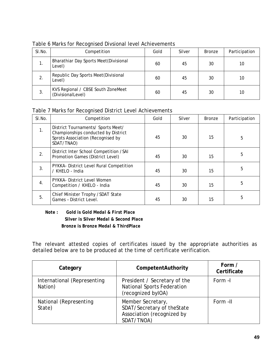| SI.No. | Competition                                             | Gold | Silver | <b>Bronze</b> | Participation |
|--------|---------------------------------------------------------|------|--------|---------------|---------------|
| 1.     | Bharathiar Day Sports Meet (Divisional<br>Level)        | 60   | 45     | 30            | 10            |
| 2.     | Republic Day Sports Meet (Divisional<br>Level)          | 60   | 45     | 30            | 10            |
| 3.     | KVS Regional / CBSE South ZoneMeet<br>(DivisionalLevel) | 60   | 45     | 30            | 10            |

Table 6 Marks for Recognised Divsional level Achievements

#### Table 7 Marks for Recognised District Level Achievements

| SI.No. | Competition                                                                                                                  | Gold | Silver | <b>Bronze</b> | Participation |
|--------|------------------------------------------------------------------------------------------------------------------------------|------|--------|---------------|---------------|
| 1.     | District Tournaments/ Sports Meet/<br>Championships conducted by District<br>Sprots Association (Recognised by<br>SDAT/TNAO) | 45   | 30     | 15            | 5             |
| 2.     | District Inter School Competition / SAI<br>Promotion Games (District Level)                                                  | 45   | 30     | 15            | 5             |
| 3.     | PYKKA- District Level Rural Competition<br>/ KHELO - India                                                                   | 45   | 30     | 15            | 5             |
| 4.     | PYKKA- District Level Women<br>Competition / KHELO - India                                                                   | 45   | 30     | 15            | 5             |
| 5.     | Chief Minister Trophy / SDAT State<br>Games - District Level.                                                                | 45   | 30     | 15            | 5             |

#### *Note : Gold is Gold Medal & First Place Silver is Silver Medal & Second Place Bronze is Bronze Medal & ThirdPlace*

The relevant attested copies of certificates issued by the appropriate authorities as detailed below are to be produced at the time of certificate verification.

| Category                               | CompetentAuthority                                                                          | Form /<br>Certificate |
|----------------------------------------|---------------------------------------------------------------------------------------------|-----------------------|
| International (Representing<br>Nation) | President / Secretary of the<br><b>National Sports Federation</b><br>(recognized byIOA)     | Form -I               |
| National (Representing<br>State)       | Member Secretary,<br>SDAT/Secretary of theState<br>Association (recognized by<br>SDAT/TNOA) | Form -II              |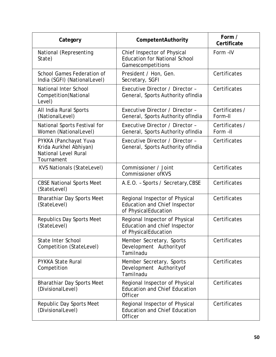| Category                                                                                     | CompetentAuthority                                                                             | Form /<br>Certificate      |
|----------------------------------------------------------------------------------------------|------------------------------------------------------------------------------------------------|----------------------------|
| National (Representing<br>State)                                                             | Chief Inspector of Physical<br><b>Education for National School</b><br>Gamescompetitions       | Form -IV                   |
| School Games Federation of<br>India (SGFI) (NationalLevel)                                   | President / Hon, Gen.<br>Secretary, SGFI                                                       | Certificates               |
| National Inter School<br>Competition(National<br>Level)                                      | Executive Director / Director -<br>General, Sports Authority of India                          | Certificates               |
| All India Rural Sports<br>(NationalLevel)                                                    | Executive Director / Director -<br>General, Sports Authority of India                          | Certificates /<br>Form-II  |
| National Sports Festival for<br>Women (NationalLevel)                                        | Executive Director / Director -<br>General, Sports Authority of India                          | Certificates /<br>Form -II |
| PYKKA (Panchayat Yuva<br>Krida Aurkhel Abhiyan)<br><b>National Level Rural</b><br>Tournament | Executive Director / Director -<br>General, Sports Authority of India                          | Certificates               |
| <b>KVS Nationals (StateLevel)</b>                                                            | Commissioner / Joint<br><b>Commissioner ofKVS</b>                                              | Certificates               |
| <b>CBSE National Sports Meet</b><br>(StateLevel)                                             | A.E.O. - Sports / Secretary, CBSE                                                              | Certificates               |
| <b>Bharathiar Day Sports Meet</b><br>(StateLevel)                                            | Regional Inspector of Physical<br><b>Education and Chief Inspector</b><br>of PhysicalEducation | Certificates               |
| <b>Republics Day Sports Meet</b><br>(StateLevel)                                             | Regional Inspector of Physical<br>Education and chief Inspector<br>of PhysicalEducation        | Certificates               |
| <b>State Inter School</b><br>Competition (StateLevel)                                        | Member Secretary, Sports<br>Development Authorityof<br>Tamilnadu                               | Certificates               |
| <b>PYKKA State Rural</b><br>Competition                                                      | Member Secretary, Sports<br>Development Authorityof<br>Tamilnadu                               | Certificates               |
| <b>Bharathiar Day Sports Meet</b><br>(DivisionalLevel)                                       | Regional Inspector of Physical<br><b>Education and Chief Education</b><br><b>Officer</b>       | Certificates               |
| Republic Day Sports Meet<br>(DivisionalLevel)                                                | Regional Inspector of Physical<br><b>Education and Chief Education</b><br><b>Officer</b>       | Certificates               |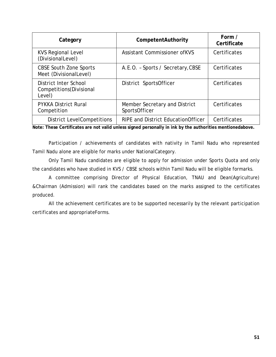| Category                                                    | CompetentAuthority                             | Form /<br>Certificate |
|-------------------------------------------------------------|------------------------------------------------|-----------------------|
| <b>KVS Regional Level</b><br>(DivisionalLevel)              | <b>Assistant Commissioner ofKVS</b>            | Certificates          |
| <b>CBSE South Zone Sports</b><br>Meet (DivisionalLevel)     | A.E.O. - Sports / Secretary, CBSE              | Certificates          |
| District Inter School<br>Competitions (Divisional<br>Level) | District SportsOfficer                         | Certificates          |
| <b>PYKKA District Rural</b><br>Competition                  | Member Secretary and District<br>SportsOfficer | Certificates          |
| <b>District LevelCompetitions</b>                           | <b>RIPE and District Education Officer</b>     | Certificates          |

**Note: These Certificates are not valid unless signed personally in ink by the authorities mentionedabove.**

Participation / achievements of candidates with nativity in Tamil Nadu who represented Tamil Nadu alone are eligible for marks under NationalCategory.

Only Tamil Nadu candidates are eligible to apply for admission under Sports Quota and only the candidates who have studied in KVS / CBSE schools within Tamil Nadu will be eligible formarks.

A committee comprising Director of Physical Education, TNAU and Dean(Agriculture) &Chairman (Admission) will rank the candidates based on the marks assigned to the certificates produced.

All the achievement certificates are to be supported necessarily by the relevant participation certificates and appropriateForms.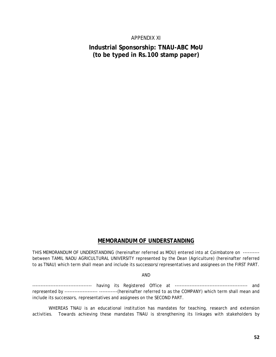#### APPENDIX XI

## <span id="page-57-0"></span>**Industrial Sponsorship: TNAU-ABC MoU (to be typed in Rs.100 stamp paper)**

## **MEMORANDUM OF UNDERSTANDING**

THIS MEMORANDUM OF UNDERSTANDING (hereinafter referred as MOU) entered into at Coimbatore on --------- between TAMIL NADU AGRICULTURAL UNIVERSITY represented by the Dean (Agriculture) (hereinafter referred to as TNAU) which term shall mean and include its successors/representatives and assignees on the FIRST PART.

#### AND

------------------------------------ having its Registered Office at -------------------------------------------- and represented by -------------------- -----------(hereinafter referred to as the COMPANY) which term shall mean and include its successors, representatives and assignees on the SECOND PART.

WHEREAS TNAU is an educational institution has mandates for teaching, research and extension activities. Towards achieving these mandates TNAU is strengthening its linkages with stakeholders by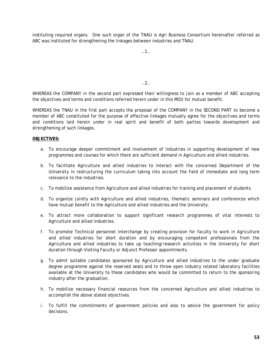instituting required organs. One such organ of the TNAU is Agri Business Consortium hereinafter referred as ABC was instituted for strengthening the linkages between industries and TNAU.

..1..

..2..

WHEREAS the COMPANY in the second part expressed their willingness to join as a member of ABC accepting the objectives and terms and conditions referred herein under in this MOU for mutual benefit.

WHEREAS the TNAU in the first part accepts the proposal of the COMPANY in the SECOND PART to become a member of ABC constituted for the purpose of effective linkages mutually agree for the objectives and terms and conditions laid herein under in real spirit and benefit of both parties towards development and strengthening of such linkages.

#### **OBJECTIVES:**

- a. To encourage deeper commitment and involvement of industries in supporting development of new programmes and courses for which there are sufficient demand in Agriculture and allied industries.
- b. To facilitate Agriculture and allied industries to interact with the concerned Department of the University in restructuring the curriculum taking into account the field of immediate and long term relevance to the industries.
- c. To mobilize assistance from Agriculture and allied industries for training and placement of students.
- d. To organize jointly with Agriculture and allied industries, thematic seminars and conferences which have mutual benefit to the Agriculture and allied industries and the University.
- e. To attract more collaboration to support significant research programmes of vital interests to Agriculture and allied industries.
- f. To promote Technical personnel interchange by creating provision for faculty to work in Agriculture and allied industries for short duration and by encouraging competent professionals from the Agriculture and allied industries to take up teaching/research activities in the University for short duration through Visiting Faculty or Adjunct Professor appointments.
- g. To admit suitable candidates sponsored by Agriculture and allied industries to the under graduate degree programme against the reserved seats and to throw open industry related laboratory facilities available at the University to these candidates who would be committed to return to the sponsoring industry after the graduation.
- h. To mobilize necessary financial resources from the concerned Agriculture and allied industries to accomplish the above stated objectives.
- i. To fulfill the commitments of government policies and also to advice the government for policy decisions.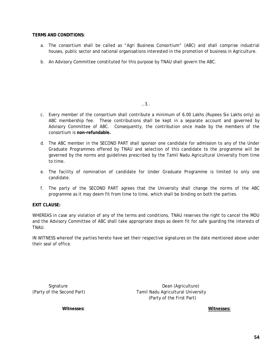#### **TERMS AND CONDITIONS:**

- a. The consortium shall be called as "Agri Business Consortium" (ABC) and shall comprise industrial houses, public sector and national organisations interested in the promotion of business in Agriculture.
- b. An Advisory Committee constituted for this purpose by TNAU shall govern the ABC.

..3..

- c. Every member of the consortium shall contribute a minimum of 6.00 Lakhs (Rupees Six Lakhs only) as ABC membership fee. These contributions shall be kept in a separate account and governed by Advisory Committee of ABC. Consequently, the contribution once made by the members of the consortium is **non-refundable.**
- d. The ABC member in the SECOND PART shall sponsor one candidate for admission to any of the Under Graduate Programmes offered by TNAU and selection of this candidate to the programme will be governed by the norms and guidelines prescribed by the Tamil Nadu Agricultural University from time to time.
- e. The facility of nomination of candidate for Under Graduate Programme is limited to only one candidate.
- f. The party of the SECOND PART agrees that the University shall change the norms of the ABC programme as it may deem fit from time to time, which shall be binding on both the parties.

#### **EXIT CLAUSE:**

WHEREAS in case any violation of any of the terms and conditions, TNAU reserves the right to cancel the MOU and the Advisory Committee of ABC shall take appropriate steps as deem fit for safe guarding the interests of **TNAU** 

IN WITNESS whereof the parties hereto have set their respective signatures on the date mentioned above under their seal of office.

Signature Dean (Agriculture) (Party of the Second Part) Tamil Nadu Agricultural University (Party of the First Part)

 **Witnesses: Witnesses:**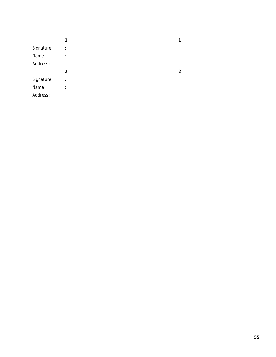|           | 1 | 1 |
|-----------|---|---|
| Signature | ÷ |   |
| Name      | ÷ |   |
| Address:  |   |   |
|           | 2 | 2 |
| Signature | ÷ |   |
| Name      | ÷ |   |
| Address:  |   |   |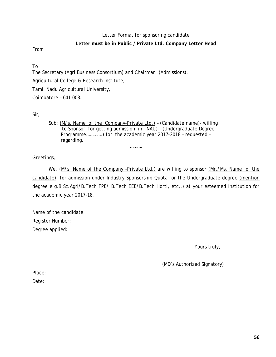#### Letter Format for sponsoring candidate

#### **Letter must be in Public / Private Ltd. Company Letter Head**

From

To

The Secretary (Agri Business Consortium) and Chairman (Admissions),

Agricultural College & Research Institute,

Tamil Nadu Agricultural University,

Coimbatore – 641 003.

Sir,

Sub: (M/s. Name of the Company-Private Ltd.) - (Candidate name) - willing to Sponsor for getting admission in TNAU) – (Undergraduate Degree Programme………….) for the academic year 2017-2018 – requested – regarding.

…………

Greetings,

We, (M/s. Name of the Company -Private Ltd.) are willing to sponsor (Mr./Ms. Name of the candidate), for admission under Industry Sponsorship Quota for the Undergraduate degree (mention degree e.g.B.Sc.Agri/B.Tech FPE/ B.Tech EEE/B.Tech Horti, etc,.) at your esteemed Institution for the academic year 2017-18.

Name of the candidate: Register Number: Degree applied:

Yours truly,

(MD's Authorized Signatory)

Place:

Date: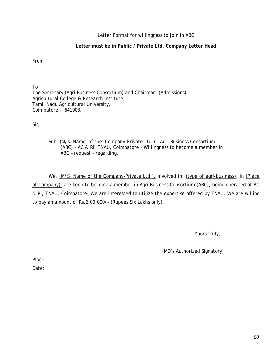#### Letter Format for willingness to join in ABC

#### **Letter must be in Public / Private Ltd. Company Letter Head**

From

To The Secretary (Agri Business Consortium) and Chairman (Admissions), Agricultural College & Research Institute, Tamil Nadu Agricultural University, Coimbatore - 641003.

Sir,

Sub: (M/s. Name of the Company-Private Ltd.) – Agri Business Consortium (ABC) – AC & RI, TNAU, Coimbatore – Willingness to become a member in ABC – request – regarding.

……

We, (M/S. Name of the Company-Private Ltd.), involved in (type of agri-business), in (Place of Company), are keen to become a member in Agri Business Consortium (ABC), being operated at AC & RI, TNAU, Coimbatore. We are interested to utilize the expertise offered by TNAU. We are willing to pay an amount of Rs.6,00,000/- (Rupees Six Lakhs only).

Yours truly,

(MD's Authorized Signatory)

Place:

Date: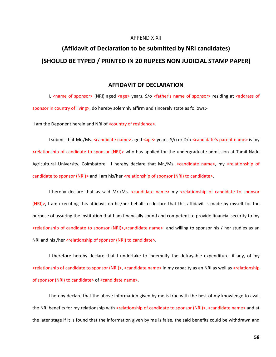#### APPENDIX XII

## <span id="page-63-0"></span>**(Affidavit of Declaration to be submitted by NRI candidates) (SHOULD BE TYPED / PRINTED IN 20 RUPEES NON JUDICIAL STAMP PAPER)**

#### **AFFIDAVIT OF DECLARATION**

I, <name of sponsor> (NRI) aged <age> years, S/o <father's name of sponsor> residing at <address of sponsor in country of living>, do hereby solemnly affirm and sincerely state as follows:-

I am the Deponent herein and NRI of <country of residence>.

I submit that Mr./Ms. <candidate name> aged <age> years, S/o or D/o <candidate's parent name> is my <relationship of candidate to sponsor (NRI)> who has applied for the undergraduate admission at Tamil Nadu Agricultural University, Coimbatore. I hereby declare that Mr./Ms. <candidate name>, my <relationship of candidate to sponsor (NRI)> and I am his/her <relationship of sponsor (NRI) to candidate>.

I hereby declare that as said Mr./Ms. <candidate name> my <relationship of candidate to sponsor (NRI)>, I am executing this affidavit on his/her behalf to declare that this affidavit is made by myself for the purpose of assuring the institution that I am financially sound and competent to provide financial security to my <relationship of candidate to sponsor (NRI)>,<candidate name> and willing to sponsor his / her studies as an NRI and his /her <relationship of sponsor (NRI) to candidate>.

I therefore hereby declare that I undertake to indemnify the defrayable expenditure, if any, of my <relationship of candidate to sponsor (NRI)>, <candidate name> in my capacity as an NRI as well as <relationship of sponsor (NRI) to candidate> of <candidate name>.

I hereby declare that the above information given by me is true with the best of my knowledge to avail the NRI benefits for my relationship with <relationship of candidate to sponsor (NRI)>, <candidate name> and at the later stage if it is found that the information given by me is false, the said benefits could be withdrawn and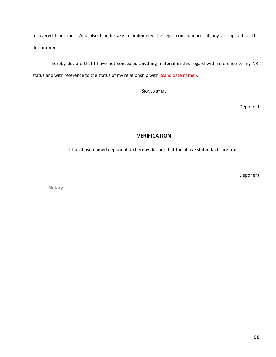recovered from me. And also I undertake to indemnify the legal consequences if any arising out of this declaration.

I hereby declare that I have not concealed anything material in this regard with reference to my NRI status and with reference to the status of my relationship with <candidate name>.

SIGNED BY ME

Deponent

#### **VERIFICATION**

I the above named deponent do hereby declare that the above stated facts are true.

Deponent

**Notary**